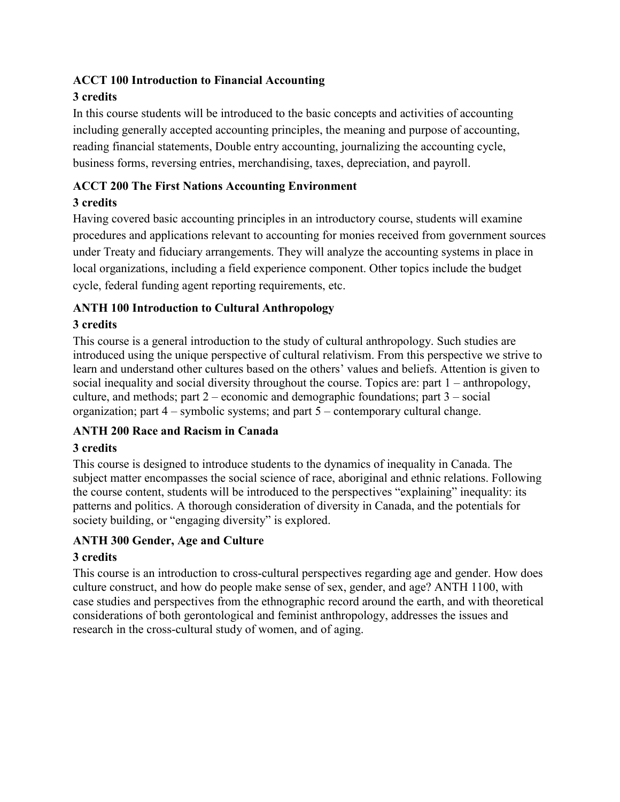### **ACCT 100 Introduction to Financial Accounting**

### **3 credits**

In this course students will be introduced to the basic concepts and activities of accounting including generally accepted accounting principles, the meaning and purpose of accounting, reading financial statements, Double entry accounting, journalizing the accounting cycle, business forms, reversing entries, merchandising, taxes, depreciation, and payroll.

### **ACCT 200 The First Nations Accounting Environment**

### **3 credits**

Having covered basic accounting principles in an introductory course, students will examine procedures and applications relevant to accounting for monies received from government sources under Treaty and fiduciary arrangements. They will analyze the accounting systems in place in local organizations, including a field experience component. Other topics include the budget cycle, federal funding agent reporting requirements, etc.

### **ANTH 100 Introduction to Cultural Anthropology**

### **3 credits**

This course is a general introduction to the study of cultural anthropology. Such studies are introduced using the unique perspective of cultural relativism. From this perspective we strive to learn and understand other cultures based on the others' values and beliefs. Attention is given to social inequality and social diversity throughout the course. Topics are: part 1 – anthropology, culture, and methods; part 2 – economic and demographic foundations; part 3 – social organization; part 4 – symbolic systems; and part 5 – contemporary cultural change.

### **ANTH 200 Race and Racism in Canada**

### **3 credits**

This course is designed to introduce students to the dynamics of inequality in Canada. The subject matter encompasses the social science of race, aboriginal and ethnic relations. Following the course content, students will be introduced to the perspectives "explaining" inequality: its patterns and politics. A thorough consideration of diversity in Canada, and the potentials for society building, or "engaging diversity" is explored.

### **ANTH 300 Gender, Age and Culture**

### **3 credits**

This course is an introduction to cross-cultural perspectives regarding age and gender. How does culture construct, and how do people make sense of sex, gender, and age? ANTH 1100, with case studies and perspectives from the ethnographic record around the earth, and with theoretical considerations of both gerontological and feminist anthropology, addresses the issues and research in the cross-cultural study of women, and of aging.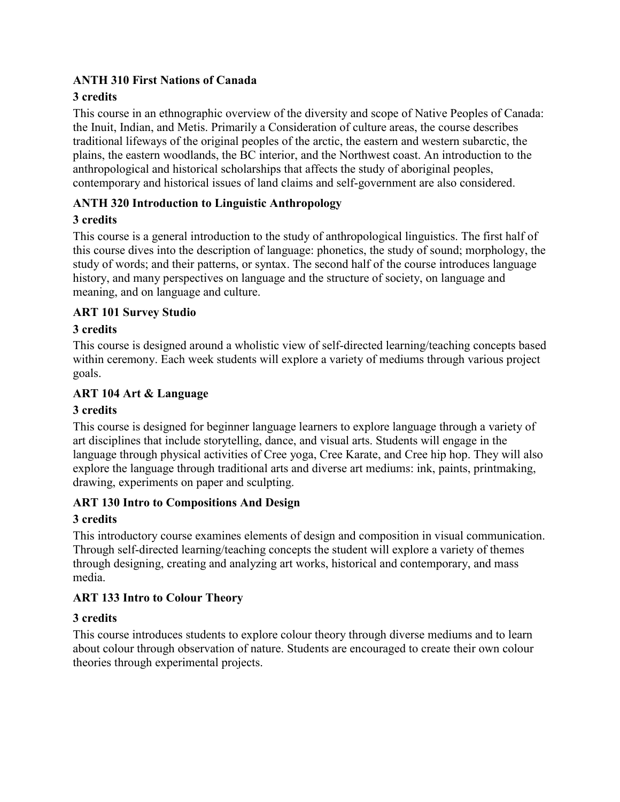### **ANTH 310 First Nations of Canada**

### **3 credits**

This course in an ethnographic overview of the diversity and scope of Native Peoples of Canada: the Inuit, Indian, and Metis. Primarily a Consideration of culture areas, the course describes traditional lifeways of the original peoples of the arctic, the eastern and western subarctic, the plains, the eastern woodlands, the BC interior, and the Northwest coast. An introduction to the anthropological and historical scholarships that affects the study of aboriginal peoples, contemporary and historical issues of land claims and self-government are also considered.

### **ANTH 320 Introduction to Linguistic Anthropology**

### **3 credits**

This course is a general introduction to the study of anthropological linguistics. The first half of this course dives into the description of language: phonetics, the study of sound; morphology, the study of words; and their patterns, or syntax. The second half of the course introduces language history, and many perspectives on language and the structure of society, on language and meaning, and on language and culture.

### **ART 101 Survey Studio**

### **3 credits**

This course is designed around a wholistic view of self-directed learning/teaching concepts based within ceremony. Each week students will explore a variety of mediums through various project goals.

#### **ART 104 Art & Language**

#### **3 credits**

This course is designed for beginner language learners to explore language through a variety of art disciplines that include storytelling, dance, and visual arts. Students will engage in the language through physical activities of Cree yoga, Cree Karate, and Cree hip hop. They will also explore the language through traditional arts and diverse art mediums: ink, paints, printmaking, drawing, experiments on paper and sculpting.

### **ART 130 Intro to Compositions And Design**

#### **3 credits**

This introductory course examines elements of design and composition in visual communication. Through self-directed learning/teaching concepts the student will explore a variety of themes through designing, creating and analyzing art works, historical and contemporary, and mass media.

### **ART 133 Intro to Colour Theory**

#### **3 credits**

This course introduces students to explore colour theory through diverse mediums and to learn about colour through observation of nature. Students are encouraged to create their own colour theories through experimental projects.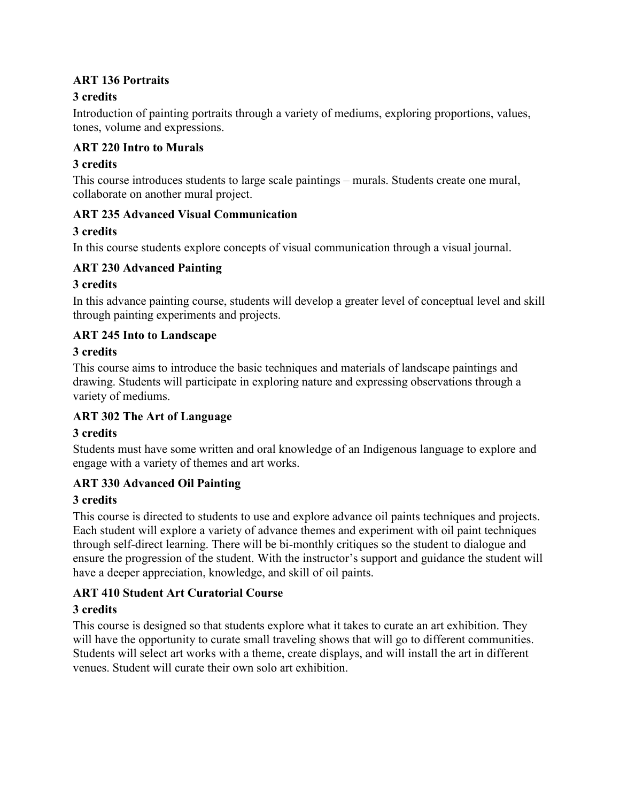### **ART 136 Portraits**

### **3 credits**

Introduction of painting portraits through a variety of mediums, exploring proportions, values, tones, volume and expressions.

### **ART 220 Intro to Murals**

### **3 credits**

This course introduces students to large scale paintings – murals. Students create one mural, collaborate on another mural project.

### **ART 235 Advanced Visual Communication**

### **3 credits**

In this course students explore concepts of visual communication through a visual journal.

### **ART 230 Advanced Painting**

### **3 credits**

In this advance painting course, students will develop a greater level of conceptual level and skill through painting experiments and projects.

### **ART 245 Into to Landscape**

### **3 credits**

This course aims to introduce the basic techniques and materials of landscape paintings and drawing. Students will participate in exploring nature and expressing observations through a variety of mediums.

### **ART 302 The Art of Language**

### **3 credits**

Students must have some written and oral knowledge of an Indigenous language to explore and engage with a variety of themes and art works.

### **ART 330 Advanced Oil Painting**

### **3 credits**

This course is directed to students to use and explore advance oil paints techniques and projects. Each student will explore a variety of advance themes and experiment with oil paint techniques through self-direct learning. There will be bi-monthly critiques so the student to dialogue and ensure the progression of the student. With the instructor's support and guidance the student will have a deeper appreciation, knowledge, and skill of oil paints.

### **ART 410 Student Art Curatorial Course**

#### **3 credits**

This course is designed so that students explore what it takes to curate an art exhibition. They will have the opportunity to curate small traveling shows that will go to different communities. Students will select art works with a theme, create displays, and will install the art in different venues. Student will curate their own solo art exhibition.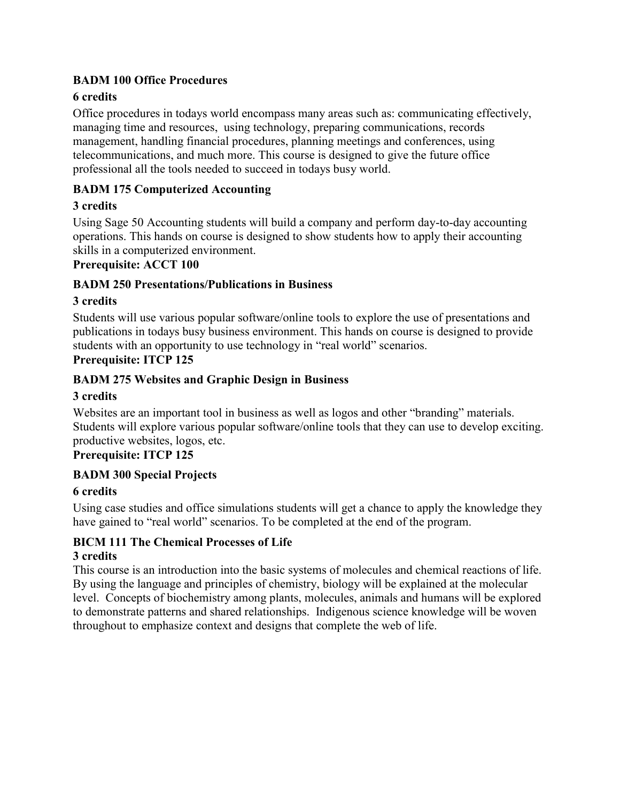#### **BADM 100 Office Procedures**

### **6 credits**

Office procedures in todays world encompass many areas such as: communicating effectively, managing time and resources, using technology, preparing communications, records management, handling financial procedures, planning meetings and conferences, using telecommunications, and much more. This course is designed to give the future office professional all the tools needed to succeed in todays busy world.

### **BADM 175 Computerized Accounting**

### **3 credits**

Using Sage 50 Accounting students will build a company and perform day-to-day accounting operations. This hands on course is designed to show students how to apply their accounting skills in a computerized environment.

#### **Prerequisite: ACCT 100**

#### **BADM 250 Presentations/Publications in Business**

#### **3 credits**

Students will use various popular software/online tools to explore the use of presentations and publications in todays busy business environment. This hands on course is designed to provide students with an opportunity to use technology in "real world" scenarios.

### **Prerequisite: ITCP 125**

### **BADM 275 Websites and Graphic Design in Business**

#### **3 credits**

Websites are an important tool in business as well as logos and other "branding" materials. Students will explore various popular software/online tools that they can use to develop exciting. productive websites, logos, etc.

### **Prerequisite: ITCP 125**

#### **BADM 300 Special Projects**

#### **6 credits**

Using case studies and office simulations students will get a chance to apply the knowledge they have gained to "real world" scenarios. To be completed at the end of the program.

#### **BICM 111 The Chemical Processes of Life 3 credits**

This course is an introduction into the basic systems of molecules and chemical reactions of life. By using the language and principles of chemistry, biology will be explained at the molecular level. Concepts of biochemistry among plants, molecules, animals and humans will be explored to demonstrate patterns and shared relationships. Indigenous science knowledge will be woven throughout to emphasize context and designs that complete the web of life.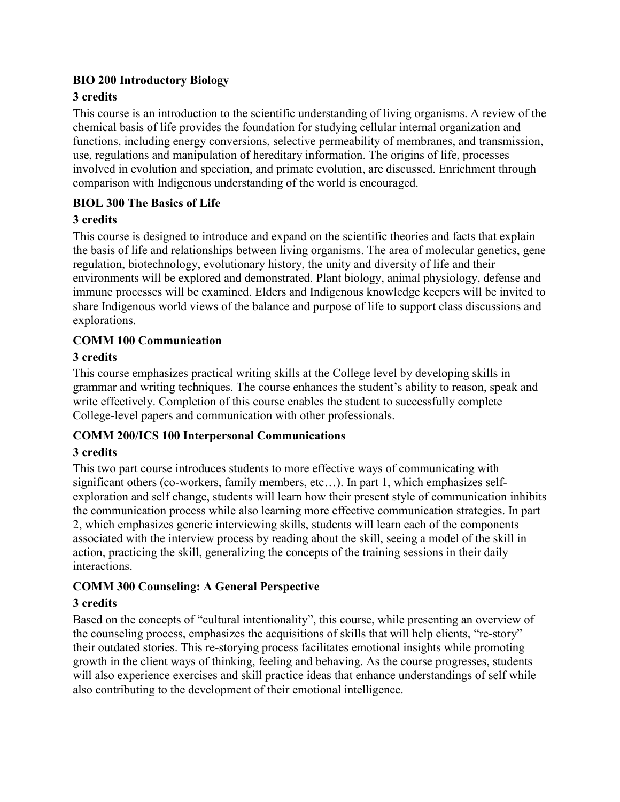### **BIO 200 Introductory Biology**

### **3 credits**

This course is an introduction to the scientific understanding of living organisms. A review of the chemical basis of life provides the foundation for studying cellular internal organization and functions, including energy conversions, selective permeability of membranes, and transmission, use, regulations and manipulation of hereditary information. The origins of life, processes involved in evolution and speciation, and primate evolution, are discussed. Enrichment through comparison with Indigenous understanding of the world is encouraged.

### **BIOL 300 The Basics of Life**

### **3 credits**

This course is designed to introduce and expand on the scientific theories and facts that explain the basis of life and relationships between living organisms. The area of molecular genetics, gene regulation, biotechnology, evolutionary history, the unity and diversity of life and their environments will be explored and demonstrated. Plant biology, animal physiology, defense and immune processes will be examined. Elders and Indigenous knowledge keepers will be invited to share Indigenous world views of the balance and purpose of life to support class discussions and explorations.

### **COMM 100 Communication**

### **3 credits**

This course emphasizes practical writing skills at the College level by developing skills in grammar and writing techniques. The course enhances the student's ability to reason, speak and write effectively. Completion of this course enables the student to successfully complete College-level papers and communication with other professionals.

### **COMM 200/ICS 100 Interpersonal Communications**

### **3 credits**

This two part course introduces students to more effective ways of communicating with significant others (co-workers, family members, etc…). In part 1, which emphasizes selfexploration and self change, students will learn how their present style of communication inhibits the communication process while also learning more effective communication strategies. In part 2, which emphasizes generic interviewing skills, students will learn each of the components associated with the interview process by reading about the skill, seeing a model of the skill in action, practicing the skill, generalizing the concepts of the training sessions in their daily interactions.

### **COMM 300 Counseling: A General Perspective**

### **3 credits**

Based on the concepts of "cultural intentionality", this course, while presenting an overview of the counseling process, emphasizes the acquisitions of skills that will help clients, "re-story" their outdated stories. This re-storying process facilitates emotional insights while promoting growth in the client ways of thinking, feeling and behaving. As the course progresses, students will also experience exercises and skill practice ideas that enhance understandings of self while also contributing to the development of their emotional intelligence.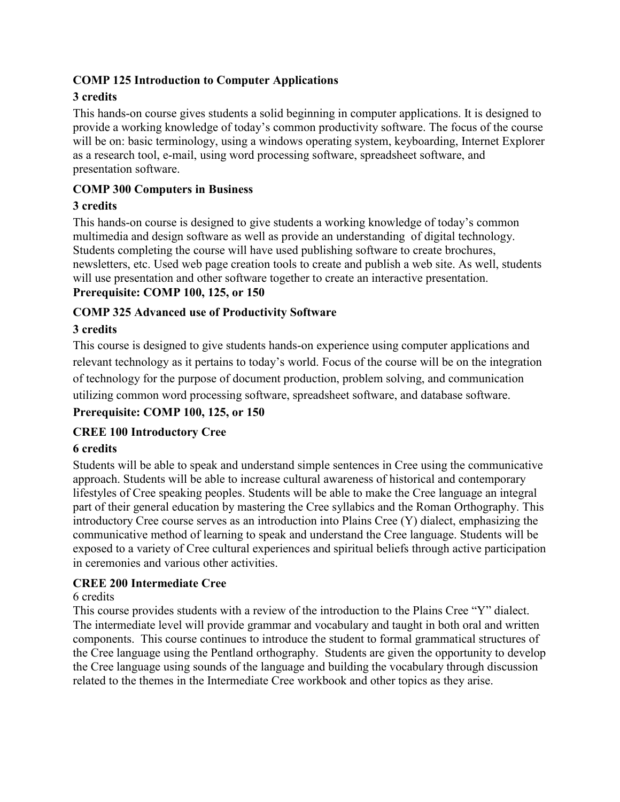### **COMP 125 Introduction to Computer Applications**

### **3 credits**

This hands-on course gives students a solid beginning in computer applications. It is designed to provide a working knowledge of today's common productivity software. The focus of the course will be on: basic terminology, using a windows operating system, keyboarding, Internet Explorer as a research tool, e-mail, using word processing software, spreadsheet software, and presentation software.

### **COMP 300 Computers in Business**

### **3 credits**

This hands-on course is designed to give students a working knowledge of today's common multimedia and design software as well as provide an understanding of digital technology. Students completing the course will have used publishing software to create brochures, newsletters, etc. Used web page creation tools to create and publish a web site. As well, students will use presentation and other software together to create an interactive presentation.

## **Prerequisite: COMP 100, 125, or 150**

### **COMP 325 Advanced use of Productivity Software**

### **3 credits**

This course is designed to give students hands-on experience using computer applications and relevant technology as it pertains to today's world. Focus of the course will be on the integration of technology for the purpose of document production, problem solving, and communication utilizing common word processing software, spreadsheet software, and database software.

### **Prerequisite: COMP 100, 125, or 150**

### **CREE 100 Introductory Cree**

### **6 credits**

Students will be able to speak and understand simple sentences in Cree using the communicative approach. Students will be able to increase cultural awareness of historical and contemporary lifestyles of Cree speaking peoples. Students will be able to make the Cree language an integral part of their general education by mastering the Cree syllabics and the Roman Orthography. This introductory Cree course serves as an introduction into Plains Cree (Y) dialect, emphasizing the communicative method of learning to speak and understand the Cree language. Students will be exposed to a variety of Cree cultural experiences and spiritual beliefs through active participation in ceremonies and various other activities.

#### **CREE 200 Intermediate Cree**

#### 6 credits

This course provides students with a review of the introduction to the Plains Cree "Y" dialect. The intermediate level will provide grammar and vocabulary and taught in both oral and written components. This course continues to introduce the student to formal grammatical structures of the Cree language using the Pentland orthography. Students are given the opportunity to develop the Cree language using sounds of the language and building the vocabulary through discussion related to the themes in the Intermediate Cree workbook and other topics as they arise.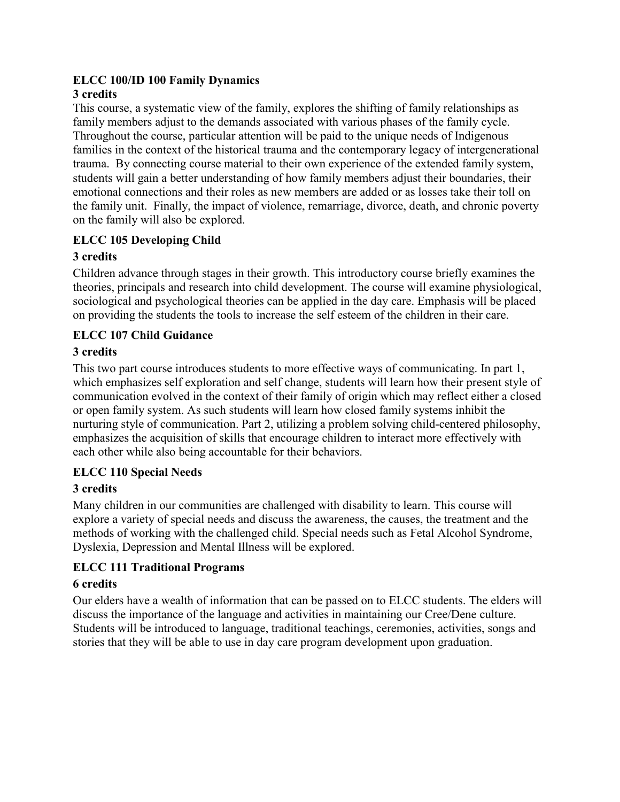#### **ELCC 100/ID 100 Family Dynamics 3 credits**

#### This course, a systematic view of the family, explores the shifting of family relationships as family members adjust to the demands associated with various phases of the family cycle. Throughout the course, particular attention will be paid to the unique needs of Indigenous families in the context of the historical trauma and the contemporary legacy of intergenerational trauma. By connecting course material to their own experience of the extended family system, students will gain a better understanding of how family members adjust their boundaries, their emotional connections and their roles as new members are added or as losses take their toll on the family unit. Finally, the impact of violence, remarriage, divorce, death, and chronic poverty on the family will also be explored.

### **ELCC 105 Developing Child**

### **3 credits**

Children advance through stages in their growth. This introductory course briefly examines the theories, principals and research into child development. The course will examine physiological, sociological and psychological theories can be applied in the day care. Emphasis will be placed on providing the students the tools to increase the self esteem of the children in their care.

### **ELCC 107 Child Guidance**

### **3 credits**

This two part course introduces students to more effective ways of communicating. In part 1, which emphasizes self exploration and self change, students will learn how their present style of communication evolved in the context of their family of origin which may reflect either a closed or open family system. As such students will learn how closed family systems inhibit the nurturing style of communication. Part 2, utilizing a problem solving child-centered philosophy, emphasizes the acquisition of skills that encourage children to interact more effectively with each other while also being accountable for their behaviors.

### **ELCC 110 Special Needs**

### **3 credits**

Many children in our communities are challenged with disability to learn. This course will explore a variety of special needs and discuss the awareness, the causes, the treatment and the methods of working with the challenged child. Special needs such as Fetal Alcohol Syndrome, Dyslexia, Depression and Mental Illness will be explored.

### **ELCC 111 Traditional Programs**

### **6 credits**

Our elders have a wealth of information that can be passed on to ELCC students. The elders will discuss the importance of the language and activities in maintaining our Cree/Dene culture. Students will be introduced to language, traditional teachings, ceremonies, activities, songs and stories that they will be able to use in day care program development upon graduation.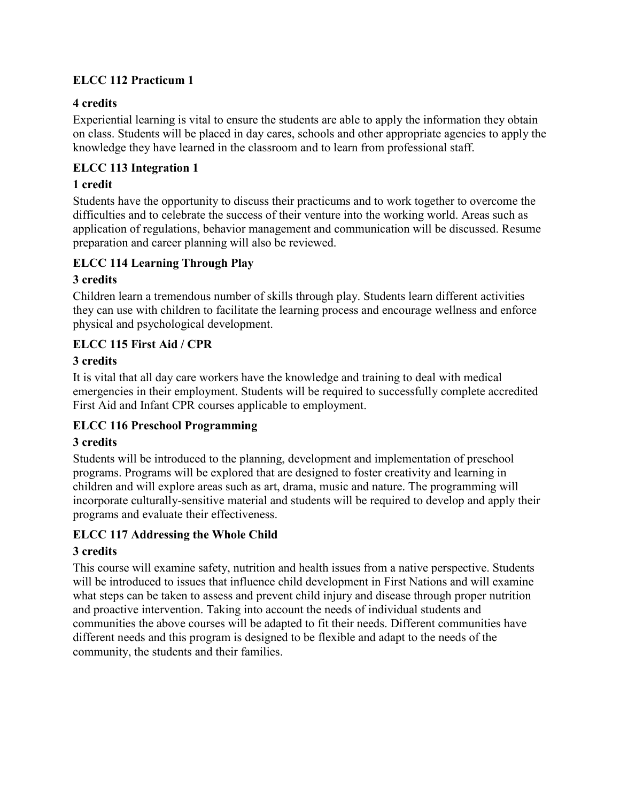### **ELCC 112 Practicum 1**

#### **4 credits**

Experiential learning is vital to ensure the students are able to apply the information they obtain on class. Students will be placed in day cares, schools and other appropriate agencies to apply the knowledge they have learned in the classroom and to learn from professional staff.

### **ELCC 113 Integration 1**

### **1 credit**

Students have the opportunity to discuss their practicums and to work together to overcome the difficulties and to celebrate the success of their venture into the working world. Areas such as application of regulations, behavior management and communication will be discussed. Resume preparation and career planning will also be reviewed.

### **ELCC 114 Learning Through Play**

### **3 credits**

Children learn a tremendous number of skills through play. Students learn different activities they can use with children to facilitate the learning process and encourage wellness and enforce physical and psychological development.

### **ELCC 115 First Aid / CPR**

### **3 credits**

It is vital that all day care workers have the knowledge and training to deal with medical emergencies in their employment. Students will be required to successfully complete accredited First Aid and Infant CPR courses applicable to employment.

### **ELCC 116 Preschool Programming**

### **3 credits**

Students will be introduced to the planning, development and implementation of preschool programs. Programs will be explored that are designed to foster creativity and learning in children and will explore areas such as art, drama, music and nature. The programming will incorporate culturally-sensitive material and students will be required to develop and apply their programs and evaluate their effectiveness.

### **ELCC 117 Addressing the Whole Child**

### **3 credits**

This course will examine safety, nutrition and health issues from a native perspective. Students will be introduced to issues that influence child development in First Nations and will examine what steps can be taken to assess and prevent child injury and disease through proper nutrition and proactive intervention. Taking into account the needs of individual students and communities the above courses will be adapted to fit their needs. Different communities have different needs and this program is designed to be flexible and adapt to the needs of the community, the students and their families.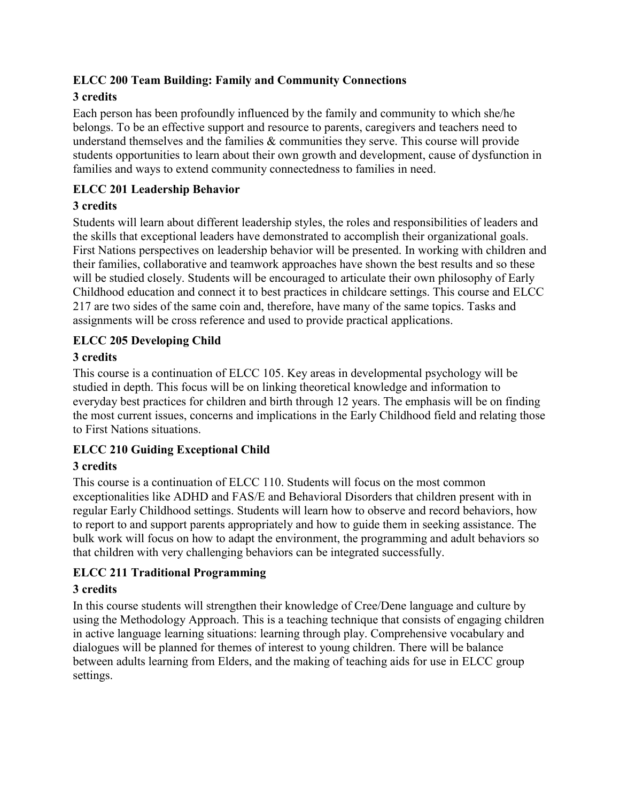### **ELCC 200 Team Building: Family and Community Connections**

### **3 credits**

Each person has been profoundly influenced by the family and community to which she/he belongs. To be an effective support and resource to parents, caregivers and teachers need to understand themselves and the families & communities they serve. This course will provide students opportunities to learn about their own growth and development, cause of dysfunction in families and ways to extend community connectedness to families in need.

### **ELCC 201 Leadership Behavior**

### **3 credits**

Students will learn about different leadership styles, the roles and responsibilities of leaders and the skills that exceptional leaders have demonstrated to accomplish their organizational goals. First Nations perspectives on leadership behavior will be presented. In working with children and their families, collaborative and teamwork approaches have shown the best results and so these will be studied closely. Students will be encouraged to articulate their own philosophy of Early Childhood education and connect it to best practices in childcare settings. This course and ELCC 217 are two sides of the same coin and, therefore, have many of the same topics. Tasks and assignments will be cross reference and used to provide practical applications.

### **ELCC 205 Developing Child**

### **3 credits**

This course is a continuation of ELCC 105. Key areas in developmental psychology will be studied in depth. This focus will be on linking theoretical knowledge and information to everyday best practices for children and birth through 12 years. The emphasis will be on finding the most current issues, concerns and implications in the Early Childhood field and relating those to First Nations situations.

### **ELCC 210 Guiding Exceptional Child**

### **3 credits**

This course is a continuation of ELCC 110. Students will focus on the most common exceptionalities like ADHD and FAS/E and Behavioral Disorders that children present with in regular Early Childhood settings. Students will learn how to observe and record behaviors, how to report to and support parents appropriately and how to guide them in seeking assistance. The bulk work will focus on how to adapt the environment, the programming and adult behaviors so that children with very challenging behaviors can be integrated successfully.

### **ELCC 211 Traditional Programming**

### **3 credits**

In this course students will strengthen their knowledge of Cree/Dene language and culture by using the Methodology Approach. This is a teaching technique that consists of engaging children in active language learning situations: learning through play. Comprehensive vocabulary and dialogues will be planned for themes of interest to young children. There will be balance between adults learning from Elders, and the making of teaching aids for use in ELCC group settings.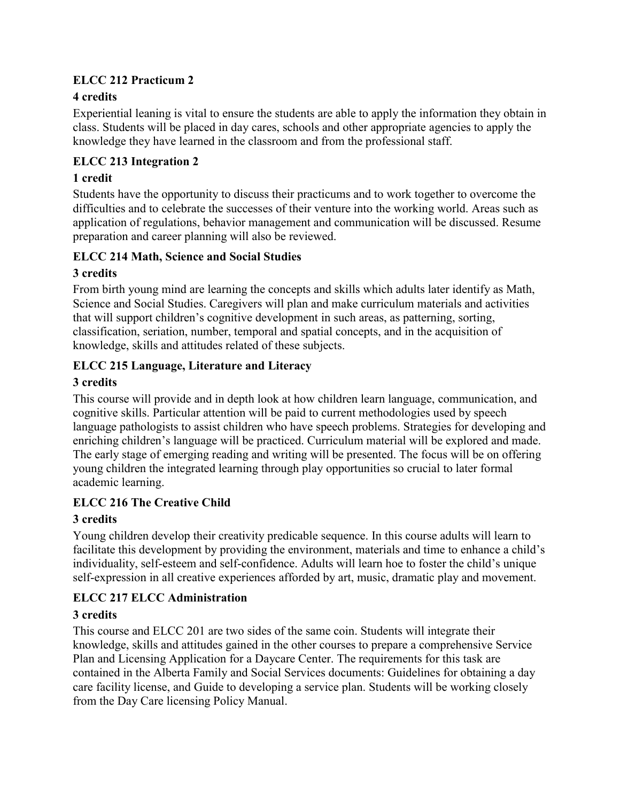### **ELCC 212 Practicum 2**

### **4 credits**

Experiential leaning is vital to ensure the students are able to apply the information they obtain in class. Students will be placed in day cares, schools and other appropriate agencies to apply the knowledge they have learned in the classroom and from the professional staff.

### **ELCC 213 Integration 2**

### **1 credit**

Students have the opportunity to discuss their practicums and to work together to overcome the difficulties and to celebrate the successes of their venture into the working world. Areas such as application of regulations, behavior management and communication will be discussed. Resume preparation and career planning will also be reviewed.

### **ELCC 214 Math, Science and Social Studies**

### **3 credits**

From birth young mind are learning the concepts and skills which adults later identify as Math, Science and Social Studies. Caregivers will plan and make curriculum materials and activities that will support children's cognitive development in such areas, as patterning, sorting, classification, seriation, number, temporal and spatial concepts, and in the acquisition of knowledge, skills and attitudes related of these subjects.

### **ELCC 215 Language, Literature and Literacy**

### **3 credits**

This course will provide and in depth look at how children learn language, communication, and cognitive skills. Particular attention will be paid to current methodologies used by speech language pathologists to assist children who have speech problems. Strategies for developing and enriching children's language will be practiced. Curriculum material will be explored and made. The early stage of emerging reading and writing will be presented. The focus will be on offering young children the integrated learning through play opportunities so crucial to later formal academic learning.

### **ELCC 216 The Creative Child**

### **3 credits**

Young children develop their creativity predicable sequence. In this course adults will learn to facilitate this development by providing the environment, materials and time to enhance a child's individuality, self-esteem and self-confidence. Adults will learn hoe to foster the child's unique self-expression in all creative experiences afforded by art, music, dramatic play and movement.

### **ELCC 217 ELCC Administration**

### **3 credits**

This course and ELCC 201 are two sides of the same coin. Students will integrate their knowledge, skills and attitudes gained in the other courses to prepare a comprehensive Service Plan and Licensing Application for a Daycare Center. The requirements for this task are contained in the Alberta Family and Social Services documents: Guidelines for obtaining a day care facility license, and Guide to developing a service plan. Students will be working closely from the Day Care licensing Policy Manual.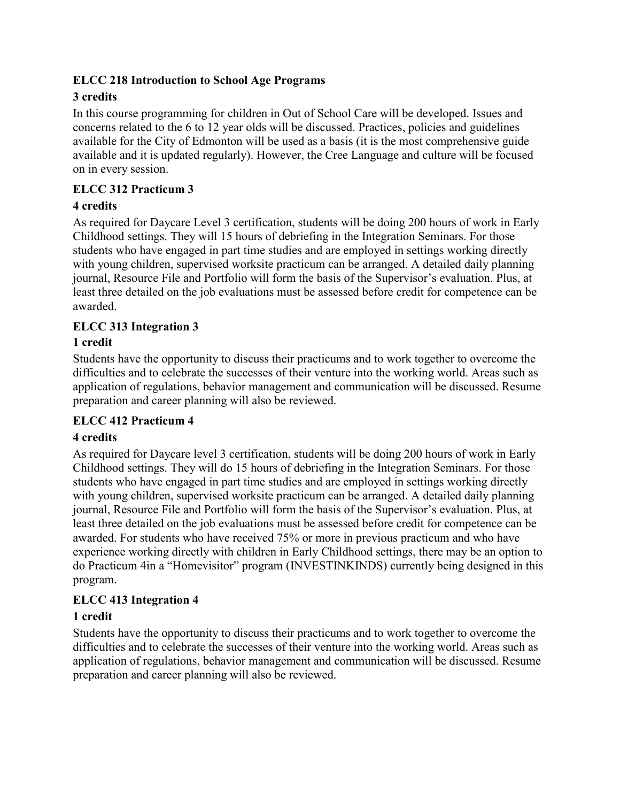### **ELCC 218 Introduction to School Age Programs**

### **3 credits**

In this course programming for children in Out of School Care will be developed. Issues and concerns related to the 6 to 12 year olds will be discussed. Practices, policies and guidelines available for the City of Edmonton will be used as a basis (it is the most comprehensive guide available and it is updated regularly). However, the Cree Language and culture will be focused on in every session.

### **ELCC 312 Practicum 3**

### **4 credits**

As required for Daycare Level 3 certification, students will be doing 200 hours of work in Early Childhood settings. They will 15 hours of debriefing in the Integration Seminars. For those students who have engaged in part time studies and are employed in settings working directly with young children, supervised worksite practicum can be arranged. A detailed daily planning journal, Resource File and Portfolio will form the basis of the Supervisor's evaluation. Plus, at least three detailed on the job evaluations must be assessed before credit for competence can be awarded.

### **ELCC 313 Integration 3**

### **1 credit**

Students have the opportunity to discuss their practicums and to work together to overcome the difficulties and to celebrate the successes of their venture into the working world. Areas such as application of regulations, behavior management and communication will be discussed. Resume preparation and career planning will also be reviewed.

### **ELCC 412 Practicum 4**

### **4 credits**

As required for Daycare level 3 certification, students will be doing 200 hours of work in Early Childhood settings. They will do 15 hours of debriefing in the Integration Seminars. For those students who have engaged in part time studies and are employed in settings working directly with young children, supervised worksite practicum can be arranged. A detailed daily planning journal, Resource File and Portfolio will form the basis of the Supervisor's evaluation. Plus, at least three detailed on the job evaluations must be assessed before credit for competence can be awarded. For students who have received 75% or more in previous practicum and who have experience working directly with children in Early Childhood settings, there may be an option to do Practicum 4in a "Homevisitor" program (INVESTINKINDS) currently being designed in this program.

### **ELCC 413 Integration 4**

### **1 credit**

Students have the opportunity to discuss their practicums and to work together to overcome the difficulties and to celebrate the successes of their venture into the working world. Areas such as application of regulations, behavior management and communication will be discussed. Resume preparation and career planning will also be reviewed.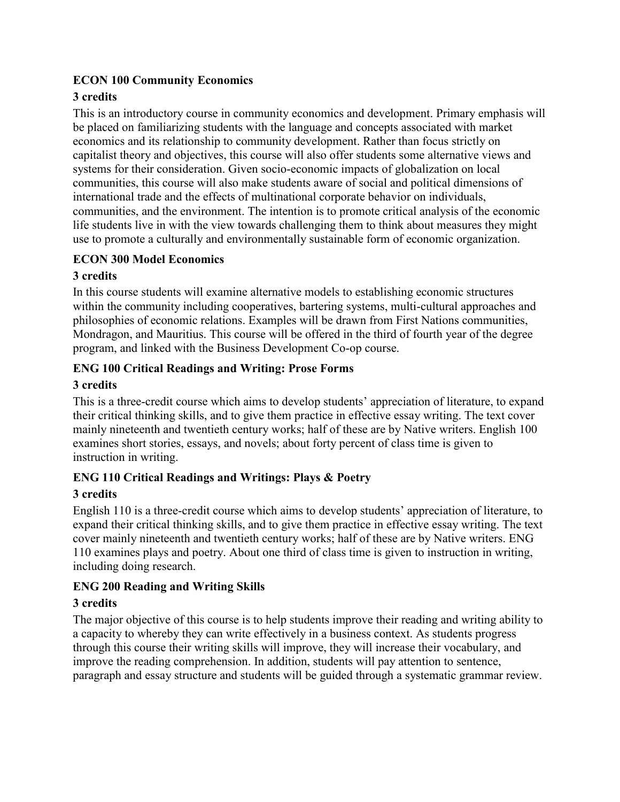### **ECON 100 Community Economics**

### **3 credits**

This is an introductory course in community economics and development. Primary emphasis will be placed on familiarizing students with the language and concepts associated with market economics and its relationship to community development. Rather than focus strictly on capitalist theory and objectives, this course will also offer students some alternative views and systems for their consideration. Given socio-economic impacts of globalization on local communities, this course will also make students aware of social and political dimensions of international trade and the effects of multinational corporate behavior on individuals, communities, and the environment. The intention is to promote critical analysis of the economic life students live in with the view towards challenging them to think about measures they might use to promote a culturally and environmentally sustainable form of economic organization.

#### **ECON 300 Model Economics**

### **3 credits**

In this course students will examine alternative models to establishing economic structures within the community including cooperatives, bartering systems, multi-cultural approaches and philosophies of economic relations. Examples will be drawn from First Nations communities, Mondragon, and Mauritius. This course will be offered in the third of fourth year of the degree program, and linked with the Business Development Co-op course.

### **ENG 100 Critical Readings and Writing: Prose Forms**

### **3 credits**

This is a three-credit course which aims to develop students' appreciation of literature, to expand their critical thinking skills, and to give them practice in effective essay writing. The text cover mainly nineteenth and twentieth century works; half of these are by Native writers. English 100 examines short stories, essays, and novels; about forty percent of class time is given to instruction in writing.

### **ENG 110 Critical Readings and Writings: Plays & Poetry**

### **3 credits**

English 110 is a three-credit course which aims to develop students' appreciation of literature, to expand their critical thinking skills, and to give them practice in effective essay writing. The text cover mainly nineteenth and twentieth century works; half of these are by Native writers. ENG 110 examines plays and poetry. About one third of class time is given to instruction in writing, including doing research.

### **ENG 200 Reading and Writing Skills**

### **3 credits**

The major objective of this course is to help students improve their reading and writing ability to a capacity to whereby they can write effectively in a business context. As students progress through this course their writing skills will improve, they will increase their vocabulary, and improve the reading comprehension. In addition, students will pay attention to sentence, paragraph and essay structure and students will be guided through a systematic grammar review.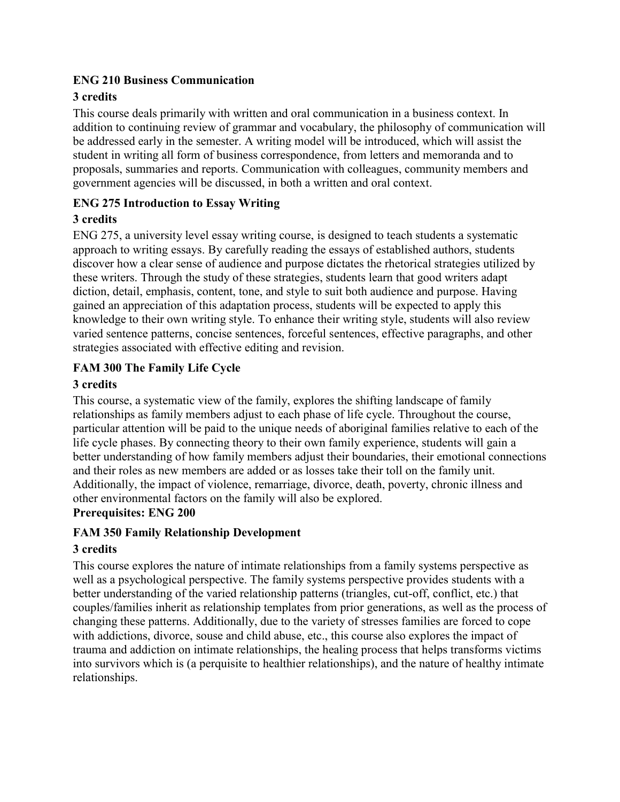#### **ENG 210 Business Communication**

### **3 credits**

This course deals primarily with written and oral communication in a business context. In addition to continuing review of grammar and vocabulary, the philosophy of communication will be addressed early in the semester. A writing model will be introduced, which will assist the student in writing all form of business correspondence, from letters and memoranda and to proposals, summaries and reports. Communication with colleagues, community members and government agencies will be discussed, in both a written and oral context.

### **ENG 275 Introduction to Essay Writing**

### **3 credits**

ENG 275, a university level essay writing course, is designed to teach students a systematic approach to writing essays. By carefully reading the essays of established authors, students discover how a clear sense of audience and purpose dictates the rhetorical strategies utilized by these writers. Through the study of these strategies, students learn that good writers adapt diction, detail, emphasis, content, tone, and style to suit both audience and purpose. Having gained an appreciation of this adaptation process, students will be expected to apply this knowledge to their own writing style. To enhance their writing style, students will also review varied sentence patterns, concise sentences, forceful sentences, effective paragraphs, and other strategies associated with effective editing and revision.

### **FAM 300 The Family Life Cycle**

### **3 credits**

This course, a systematic view of the family, explores the shifting landscape of family relationships as family members adjust to each phase of life cycle. Throughout the course, particular attention will be paid to the unique needs of aboriginal families relative to each of the life cycle phases. By connecting theory to their own family experience, students will gain a better understanding of how family members adjust their boundaries, their emotional connections and their roles as new members are added or as losses take their toll on the family unit. Additionally, the impact of violence, remarriage, divorce, death, poverty, chronic illness and other environmental factors on the family will also be explored. **Prerequisites: ENG 200**

# **FAM 350 Family Relationship Development**

### **3 credits**

This course explores the nature of intimate relationships from a family systems perspective as well as a psychological perspective. The family systems perspective provides students with a better understanding of the varied relationship patterns (triangles, cut-off, conflict, etc.) that couples/families inherit as relationship templates from prior generations, as well as the process of changing these patterns. Additionally, due to the variety of stresses families are forced to cope with addictions, divorce, souse and child abuse, etc., this course also explores the impact of trauma and addiction on intimate relationships, the healing process that helps transforms victims into survivors which is (a perquisite to healthier relationships), and the nature of healthy intimate relationships.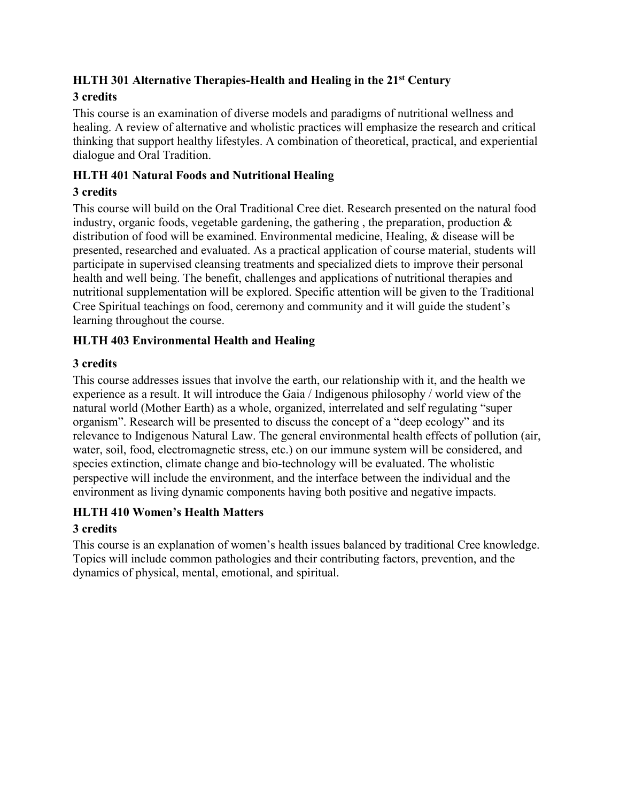## **HLTH 301 Alternative Therapies-Health and Healing in the 21st Century**

### **3 credits**

This course is an examination of diverse models and paradigms of nutritional wellness and healing. A review of alternative and wholistic practices will emphasize the research and critical thinking that support healthy lifestyles. A combination of theoretical, practical, and experiential dialogue and Oral Tradition.

### **HLTH 401 Natural Foods and Nutritional Healing**

### **3 credits**

This course will build on the Oral Traditional Cree diet. Research presented on the natural food industry, organic foods, vegetable gardening, the gathering , the preparation, production & distribution of food will be examined. Environmental medicine, Healing, & disease will be presented, researched and evaluated. As a practical application of course material, students will participate in supervised cleansing treatments and specialized diets to improve their personal health and well being. The benefit, challenges and applications of nutritional therapies and nutritional supplementation will be explored. Specific attention will be given to the Traditional Cree Spiritual teachings on food, ceremony and community and it will guide the student's learning throughout the course.

### **HLTH 403 Environmental Health and Healing**

### **3 credits**

This course addresses issues that involve the earth, our relationship with it, and the health we experience as a result. It will introduce the Gaia / Indigenous philosophy / world view of the natural world (Mother Earth) as a whole, organized, interrelated and self regulating "super organism". Research will be presented to discuss the concept of a "deep ecology" and its relevance to Indigenous Natural Law. The general environmental health effects of pollution (air, water, soil, food, electromagnetic stress, etc.) on our immune system will be considered, and species extinction, climate change and bio-technology will be evaluated. The wholistic perspective will include the environment, and the interface between the individual and the environment as living dynamic components having both positive and negative impacts.

### **HLTH 410 Women's Health Matters**

### **3 credits**

This course is an explanation of women's health issues balanced by traditional Cree knowledge. Topics will include common pathologies and their contributing factors, prevention, and the dynamics of physical, mental, emotional, and spiritual.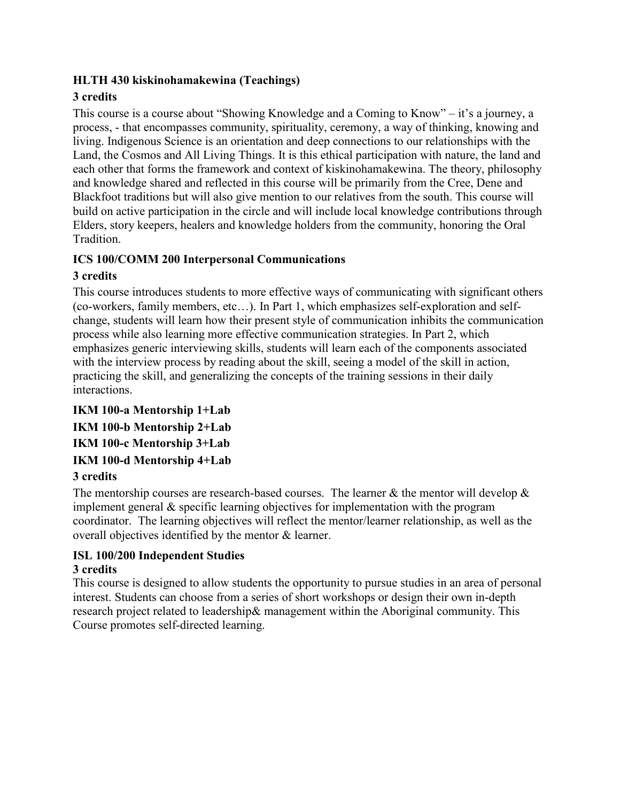### **HLTH 430 kiskinohamakewina (Teachings)**

### **3 credits**

This course is a course about "Showing Knowledge and a Coming to Know" – it's a journey, a process, - that encompasses community, spirituality, ceremony, a way of thinking, knowing and living. Indigenous Science is an orientation and deep connections to our relationships with the Land, the Cosmos and All Living Things. It is this ethical participation with nature, the land and each other that forms the framework and context of kiskinohamakewina. The theory, philosophy and knowledge shared and reflected in this course will be primarily from the Cree, Dene and Blackfoot traditions but will also give mention to our relatives from the south. This course will build on active participation in the circle and will include local knowledge contributions through Elders, story keepers, healers and knowledge holders from the community, honoring the Oral Tradition.

### **ICS 100/COMM 200 Interpersonal Communications**

### **3 credits**

This course introduces students to more effective ways of communicating with significant others (co-workers, family members, etc…). In Part 1, which emphasizes self-exploration and selfchange, students will learn how their present style of communication inhibits the communication process while also learning more effective communication strategies. In Part 2, which emphasizes generic interviewing skills, students will learn each of the components associated with the interview process by reading about the skill, seeing a model of the skill in action, practicing the skill, and generalizing the concepts of the training sessions in their daily interactions.

**IKM 100-a Mentorship 1+Lab IKM 100-b Mentorship 2+Lab IKM 100-c Mentorship 3+Lab IKM 100-d Mentorship 4+Lab**

### **3 credits**

The mentorship courses are research-based courses. The learner  $\&$  the mentor will develop  $\&$ implement general & specific learning objectives for implementation with the program coordinator. The learning objectives will reflect the mentor/learner relationship, as well as the overall objectives identified by the mentor & learner.

### **ISL 100/200 Independent Studies**

### **3 credits**

This course is designed to allow students the opportunity to pursue studies in an area of personal interest. Students can choose from a series of short workshops or design their own in-depth research project related to leadership& management within the Aboriginal community. This Course promotes self-directed learning.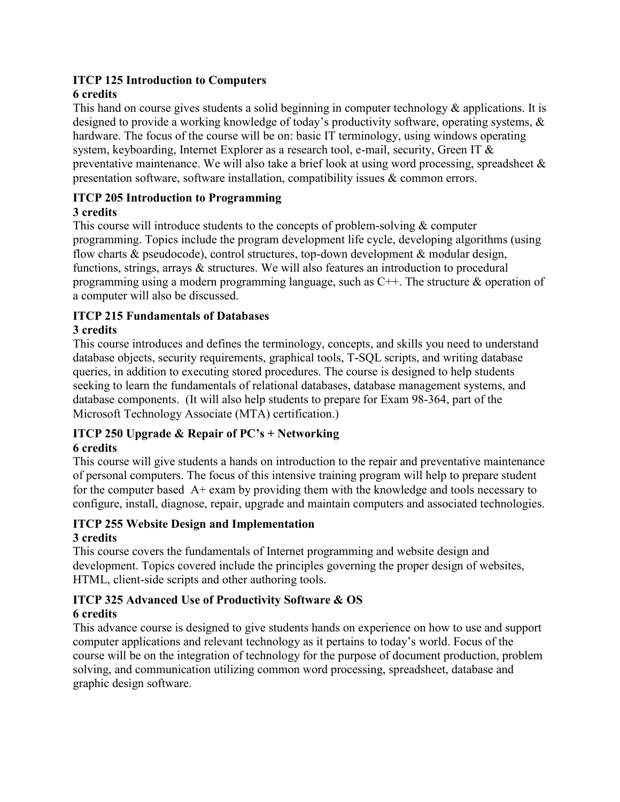# **ITCP 125 Introduction to Computers**

### **6 credits**

This hand on course gives students a solid beginning in computer technology & applications. It is designed to provide a working knowledge of today's productivity software, operating systems, & hardware. The focus of the course will be on: basic IT terminology, using windows operating system, keyboarding, Internet Explorer as a research tool, e-mail, security, Green IT & preventative maintenance. We will also take a brief look at using word processing, spreadsheet & presentation software, software installation, compatibility issues & common errors.

### **ITCP 205 Introduction to Programming**

### **3 credits**

This course will introduce students to the concepts of problem-solving & computer programming. Topics include the program development life cycle, developing algorithms (using flow charts & pseudocode), control structures, top-down development & modular design, functions, strings, arrays & structures. We will also features an introduction to procedural programming using a modern programming language, such as  $C++$ . The structure & operation of a computer will also be discussed.

### **ITCP 215 Fundamentals of Databases**

### **3 credits**

This course introduces and defines the terminology, concepts, and skills you need to understand database objects, security requirements, graphical tools, T-SQL scripts, and writing database queries, in addition to executing stored procedures. The course is designed to help students seeking to learn the fundamentals of relational databases, database management systems, and database components. (It will also help students to prepare for Exam 98-364, part of the Microsoft Technology Associate (MTA) certification.)

# **ITCP 250 Upgrade & Repair of PC's + Networking**

### **6 credits**

This course will give students a hands on introduction to the repair and preventative maintenance of personal computers. The focus of this intensive training program will help to prepare student for the computer based  $A+$  exam by providing them with the knowledge and tools necessary to configure, install, diagnose, repair, upgrade and maintain computers and associated technologies.

### **ITCP 255 Website Design and Implementation 3 credits**

This course covers the fundamentals of Internet programming and website design and development. Topics covered include the principles governing the proper design of websites, HTML, client-side scripts and other authoring tools.

#### **ITCP 325 Advanced Use of Productivity Software & OS 6 credits**

This advance course is designed to give students hands on experience on how to use and support computer applications and relevant technology as it pertains to today's world. Focus of the course will be on the integration of technology for the purpose of document production, problem solving, and communication utilizing common word processing, spreadsheet, database and graphic design software.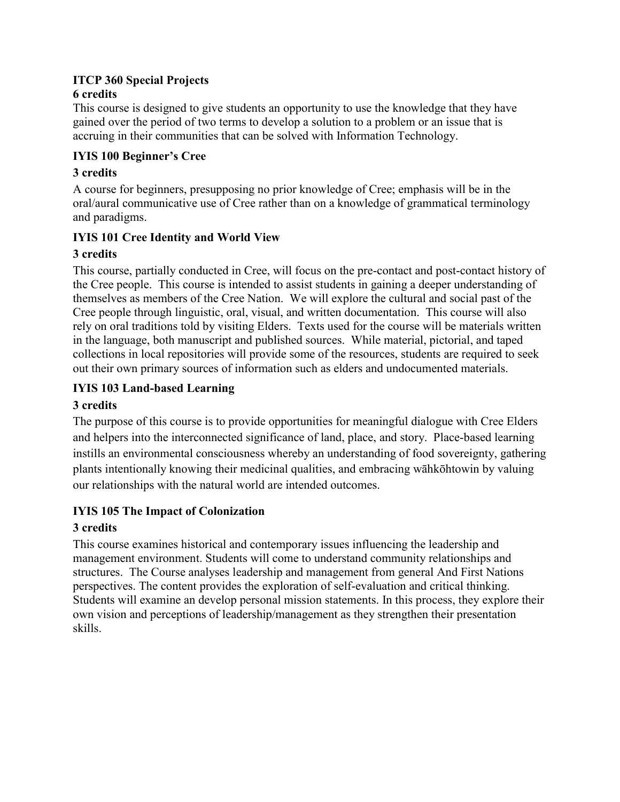#### **ITCP 360 Special Projects 6 credits**

This course is designed to give students an opportunity to use the knowledge that they have gained over the period of two terms to develop a solution to a problem or an issue that is accruing in their communities that can be solved with Information Technology.

### **IYIS 100 Beginner's Cree**

### **3 credits**

A course for beginners, presupposing no prior knowledge of Cree; emphasis will be in the oral/aural communicative use of Cree rather than on a knowledge of grammatical terminology and paradigms.

### **IYIS 101 Cree Identity and World View**

### **3 credits**

This course, partially conducted in Cree, will focus on the pre-contact and post-contact history of the Cree people. This course is intended to assist students in gaining a deeper understanding of themselves as members of the Cree Nation. We will explore the cultural and social past of the Cree people through linguistic, oral, visual, and written documentation. This course will also rely on oral traditions told by visiting Elders. Texts used for the course will be materials written in the language, both manuscript and published sources. While material, pictorial, and taped collections in local repositories will provide some of the resources, students are required to seek out their own primary sources of information such as elders and undocumented materials.

### **IYIS 103 Land-based Learning**

### **3 credits**

The purpose of this course is to provide opportunities for meaningful dialogue with Cree Elders and helpers into the interconnected significance of land, place, and story. Place-based learning instills an environmental consciousness whereby an understanding of food sovereignty, gathering plants intentionally knowing their medicinal qualities, and embracing wāhkōhtowin by valuing our relationships with the natural world are intended outcomes.

### **IYIS 105 The Impact of Colonization**

### **3 credits**

This course examines historical and contemporary issues influencing the leadership and management environment. Students will come to understand community relationships and structures. The Course analyses leadership and management from general And First Nations perspectives. The content provides the exploration of self-evaluation and critical thinking. Students will examine an develop personal mission statements. In this process, they explore their own vision and perceptions of leadership/management as they strengthen their presentation skills.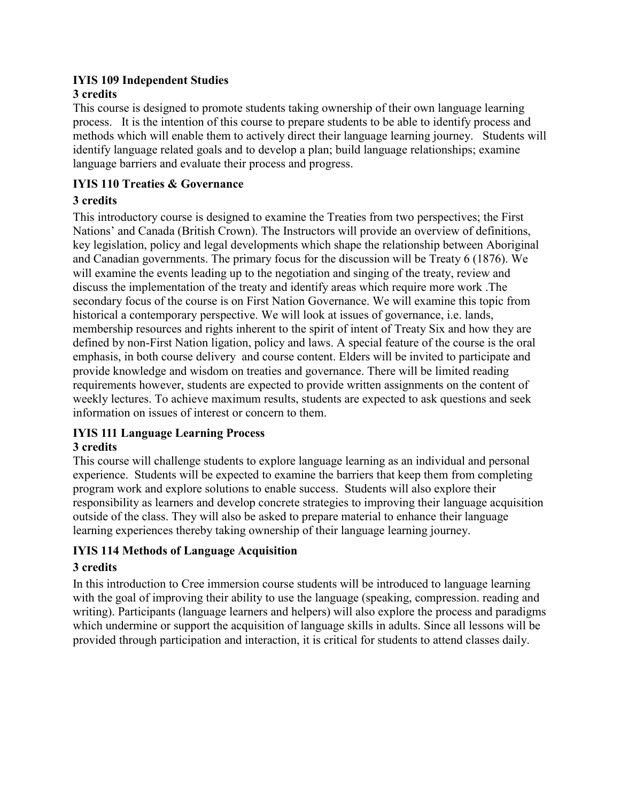#### **IYIS 109 Independent Studies 3 credits**

This course is designed to promote students taking ownership of their own language learning process. It is the intention of this course to prepare students to be able to identify process and methods which will enable them to actively direct their language learning journey. Students will identify language related goals and to develop a plan; build language relationships; examine language barriers and evaluate their process and progress.

### **IYIS 110 Treaties & Governance**

### **3 credits**

This introductory course is designed to examine the Treaties from two perspectives; the First Nations' and Canada (British Crown). The Instructors will provide an overview of definitions, key legislation, policy and legal developments which shape the relationship between Aboriginal and Canadian governments. The primary focus for the discussion will be Treaty 6 (1876). We will examine the events leading up to the negotiation and singing of the treaty, review and discuss the implementation of the treaty and identify areas which require more work .The secondary focus of the course is on First Nation Governance. We will examine this topic from historical a contemporary perspective. We will look at issues of governance, i.e. lands, membership resources and rights inherent to the spirit of intent of Treaty Six and how they are defined by non-First Nation ligation, policy and laws. A special feature of the course is the oral emphasis, in both course delivery and course content. Elders will be invited to participate and provide knowledge and wisdom on treaties and governance. There will be limited reading requirements however, students are expected to provide written assignments on the content of weekly lectures. To achieve maximum results, students are expected to ask questions and seek information on issues of interest or concern to them.

## **IYIS 111 Language Learning Process**

### **3 credits**

This course will challenge students to explore language learning as an individual and personal experience. Students will be expected to examine the barriers that keep them from completing program work and explore solutions to enable success. Students will also explore their responsibility as learners and develop concrete strategies to improving their language acquisition outside of the class. They will also be asked to prepare material to enhance their language learning experiences thereby taking ownership of their language learning journey.

### **IYIS 114 Methods of Language Acquisition**

### **3 credits**

In this introduction to Cree immersion course students will be introduced to language learning with the goal of improving their ability to use the language (speaking, compression. reading and writing). Participants (language learners and helpers) will also explore the process and paradigms which undermine or support the acquisition of language skills in adults. Since all lessons will be provided through participation and interaction, it is critical for students to attend classes daily.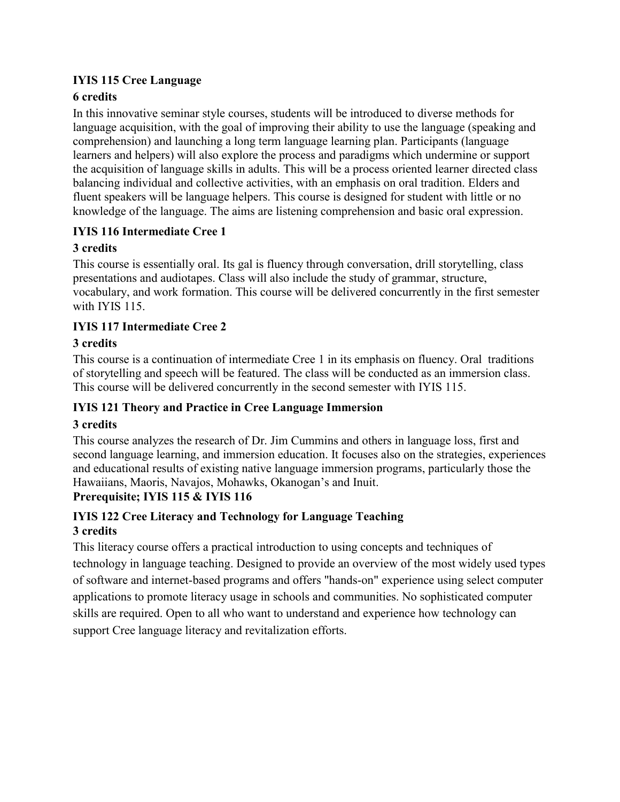### **IYIS 115 Cree Language**

### **6 credits**

In this innovative seminar style courses, students will be introduced to diverse methods for language acquisition, with the goal of improving their ability to use the language (speaking and comprehension) and launching a long term language learning plan. Participants (language learners and helpers) will also explore the process and paradigms which undermine or support the acquisition of language skills in adults. This will be a process oriented learner directed class balancing individual and collective activities, with an emphasis on oral tradition. Elders and fluent speakers will be language helpers. This course is designed for student with little or no knowledge of the language. The aims are listening comprehension and basic oral expression.

### **IYIS 116 Intermediate Cree 1**

### **3 credits**

This course is essentially oral. Its gal is fluency through conversation, drill storytelling, class presentations and audiotapes. Class will also include the study of grammar, structure, vocabulary, and work formation. This course will be delivered concurrently in the first semester with IYIS 115.

### **IYIS 117 Intermediate Cree 2**

### **3 credits**

This course is a continuation of intermediate Cree 1 in its emphasis on fluency. Oral traditions of storytelling and speech will be featured. The class will be conducted as an immersion class. This course will be delivered concurrently in the second semester with IYIS 115.

### **IYIS 121 Theory and Practice in Cree Language Immersion**

### **3 credits**

This course analyzes the research of Dr. Jim Cummins and others in language loss, first and second language learning, and immersion education. It focuses also on the strategies, experiences and educational results of existing native language immersion programs, particularly those the Hawaiians, Maoris, Navajos, Mohawks, Okanogan's and Inuit.

### **Prerequisite; IYIS 115 & IYIS 116**

### **IYIS 122 Cree Literacy and Technology for Language Teaching 3 credits**

This literacy course offers a practical introduction to using concepts and techniques of technology in language teaching. Designed to provide an overview of the most widely used types of software and internet-based programs and offers "hands-on" experience using select computer applications to promote literacy usage in schools and communities. No sophisticated computer skills are required. Open to all who want to understand and experience how technology can support Cree language literacy and revitalization efforts.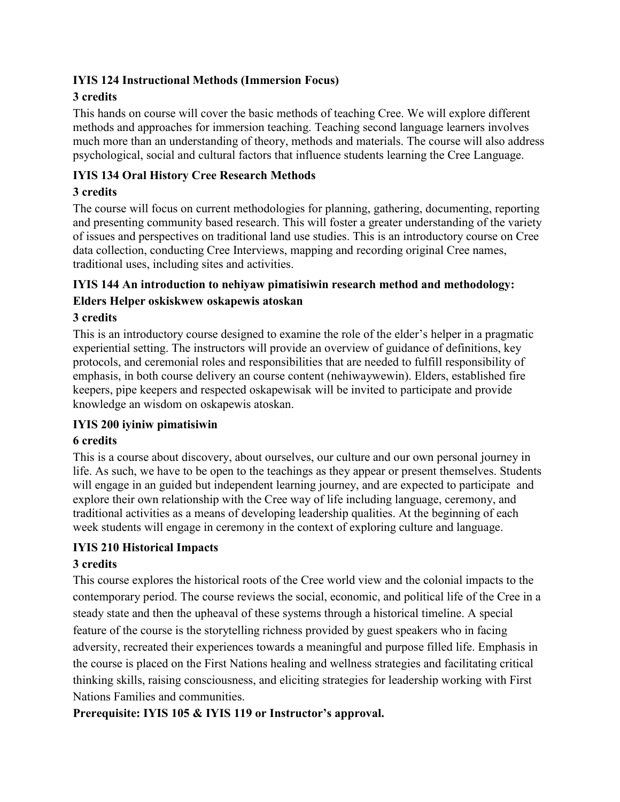### **IYIS 124 Instructional Methods (Immersion Focus)**

### **3 credits**

This hands on course will cover the basic methods of teaching Cree. We will explore different methods and approaches for immersion teaching. Teaching second language learners involves much more than an understanding of theory, methods and materials. The course will also address psychological, social and cultural factors that influence students learning the Cree Language.

### **IYIS 134 Oral History Cree Research Methods**

### **3 credits**

The course will focus on current methodologies for planning, gathering, documenting, reporting and presenting community based research. This will foster a greater understanding of the variety of issues and perspectives on traditional land use studies. This is an introductory course on Cree data collection, conducting Cree Interviews, mapping and recording original Cree names, traditional uses, including sites and activities.

### **IYIS 144 An introduction to nehiyaw pimatisiwin research method and methodology: Elders Helper oskiskwew oskapewis atoskan**

### **3 credits**

This is an introductory course designed to examine the role of the elder's helper in a pragmatic experiential setting. The instructors will provide an overview of guidance of definitions, key protocols, and ceremonial roles and responsibilities that are needed to fulfill responsibility of emphasis, in both course delivery an course content (nehiwaywewin). Elders, established fire keepers, pipe keepers and respected oskapewisak will be invited to participate and provide knowledge an wisdom on oskapewis atoskan.

### **IYIS 200 iyiniw pimatisiwin**

### **6 credits**

This is a course about discovery, about ourselves, our culture and our own personal journey in life. As such, we have to be open to the teachings as they appear or present themselves. Students will engage in an guided but independent learning journey, and are expected to participate and explore their own relationship with the Cree way of life including language, ceremony, and traditional activities as a means of developing leadership qualities. At the beginning of each week students will engage in ceremony in the context of exploring culture and language.

### **IYIS 210 Historical Impacts**

### **3 credits**

This course explores the historical roots of the Cree world view and the colonial impacts to the contemporary period. The course reviews the social, economic, and political life of the Cree in a steady state and then the upheaval of these systems through a historical timeline. A special feature of the course is the storytelling richness provided by guest speakers who in facing adversity, recreated their experiences towards a meaningful and purpose filled life. Emphasis in the course is placed on the First Nations healing and wellness strategies and facilitating critical thinking skills, raising consciousness, and eliciting strategies for leadership working with First Nations Families and communities.

### **Prerequisite: IYIS 105 & IYIS 119 or Instructor's approval.**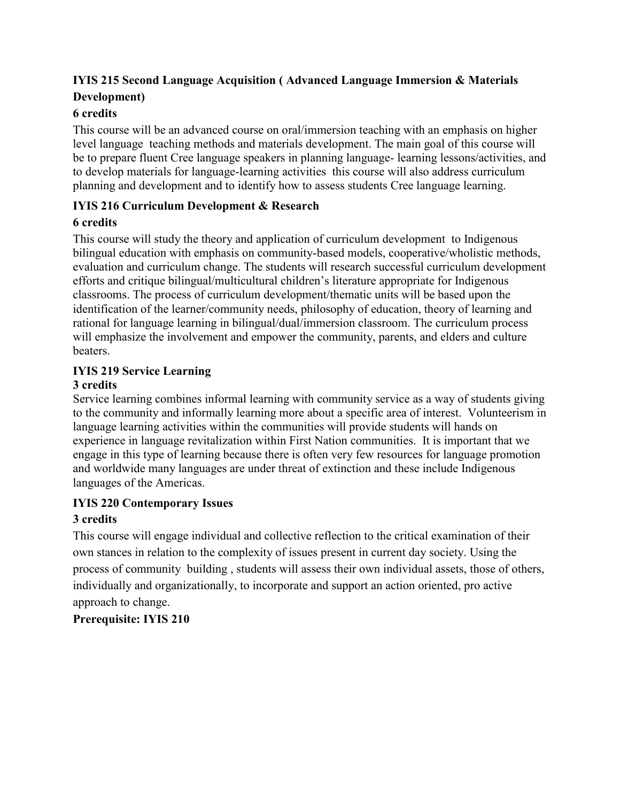### **IYIS 215 Second Language Acquisition ( Advanced Language Immersion & Materials Development)**

### **6 credits**

This course will be an advanced course on oral/immersion teaching with an emphasis on higher level language teaching methods and materials development. The main goal of this course will be to prepare fluent Cree language speakers in planning language- learning lessons/activities, and to develop materials for language-learning activities this course will also address curriculum planning and development and to identify how to assess students Cree language learning.

### **IYIS 216 Curriculum Development & Research**

### **6 credits**

This course will study the theory and application of curriculum development to Indigenous bilingual education with emphasis on community-based models, cooperative/wholistic methods, evaluation and curriculum change. The students will research successful curriculum development efforts and critique bilingual/multicultural children's literature appropriate for Indigenous classrooms. The process of curriculum development/thematic units will be based upon the identification of the learner/community needs, philosophy of education, theory of learning and rational for language learning in bilingual/dual/immersion classroom. The curriculum process will emphasize the involvement and empower the community, parents, and elders and culture beaters.

### **IYIS 219 Service Learning**

### **3 credits**

Service learning combines informal learning with community service as a way of students giving to the community and informally learning more about a specific area of interest. Volunteerism in language learning activities within the communities will provide students will hands on experience in language revitalization within First Nation communities. It is important that we engage in this type of learning because there is often very few resources for language promotion and worldwide many languages are under threat of extinction and these include Indigenous languages of the Americas.

### **IYIS 220 Contemporary Issues**

### **3 credits**

This course will engage individual and collective reflection to the critical examination of their own stances in relation to the complexity of issues present in current day society. Using the process of community building , students will assess their own individual assets, those of others, individually and organizationally, to incorporate and support an action oriented, pro active approach to change.

### **Prerequisite: IYIS 210**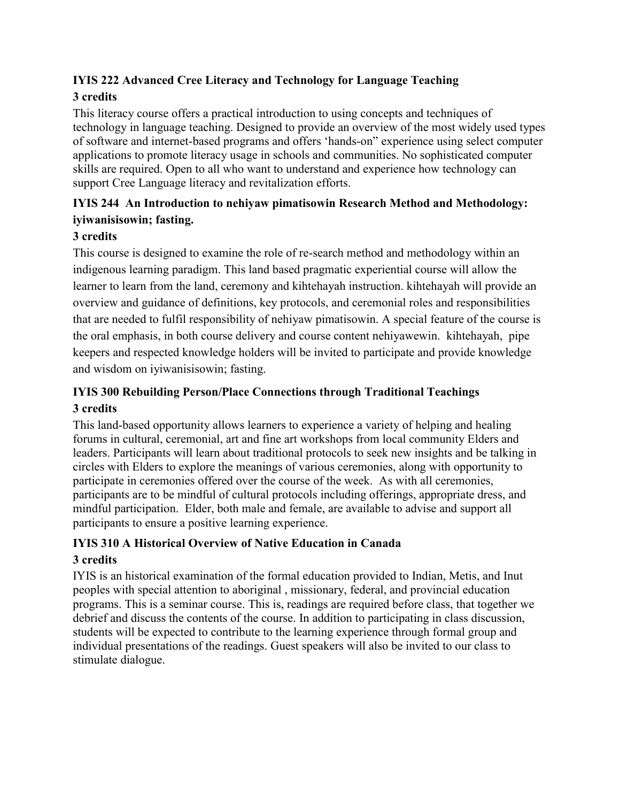# **IYIS 222 Advanced Cree Literacy and Technology for Language Teaching**

### **3 credits**

This literacy course offers a practical introduction to using concepts and techniques of technology in language teaching. Designed to provide an overview of the most widely used types of software and internet-based programs and offers 'hands-on" experience using select computer applications to promote literacy usage in schools and communities. No sophisticated computer skills are required. Open to all who want to understand and experience how technology can support Cree Language literacy and revitalization efforts.

### **IYIS 244 An Introduction to nehiyaw pimatisowin Research Method and Methodology: iyiwanisisowin; fasting.**

### **3 credits**

This course is designed to examine the role of re-search method and methodology within an indigenous learning paradigm. This land based pragmatic experiential course will allow the learner to learn from the land, ceremony and kihtehayah instruction. kihtehayah will provide an overview and guidance of definitions, key protocols, and ceremonial roles and responsibilities that are needed to fulfil responsibility of nehiyaw pimatisowin. A special feature of the course is the oral emphasis, in both course delivery and course content nehiyawewin. kihtehayah, pipe keepers and respected knowledge holders will be invited to participate and provide knowledge and wisdom on iyiwanisisowin; fasting.

### **IYIS 300 Rebuilding Person/Place Connections through Traditional Teachings 3 credits**

This land-based opportunity allows learners to experience a variety of helping and healing forums in cultural, ceremonial, art and fine art workshops from local community Elders and leaders. Participants will learn about traditional protocols to seek new insights and be talking in circles with Elders to explore the meanings of various ceremonies, along with opportunity to participate in ceremonies offered over the course of the week. As with all ceremonies, participants are to be mindful of cultural protocols including offerings, appropriate dress, and mindful participation. Elder, both male and female, are available to advise and support all participants to ensure a positive learning experience.

### **IYIS 310 A Historical Overview of Native Education in Canada**

### **3 credits**

IYIS is an historical examination of the formal education provided to Indian, Metis, and Inut peoples with special attention to aboriginal , missionary, federal, and provincial education programs. This is a seminar course. This is, readings are required before class, that together we debrief and discuss the contents of the course. In addition to participating in class discussion, students will be expected to contribute to the learning experience through formal group and individual presentations of the readings. Guest speakers will also be invited to our class to stimulate dialogue.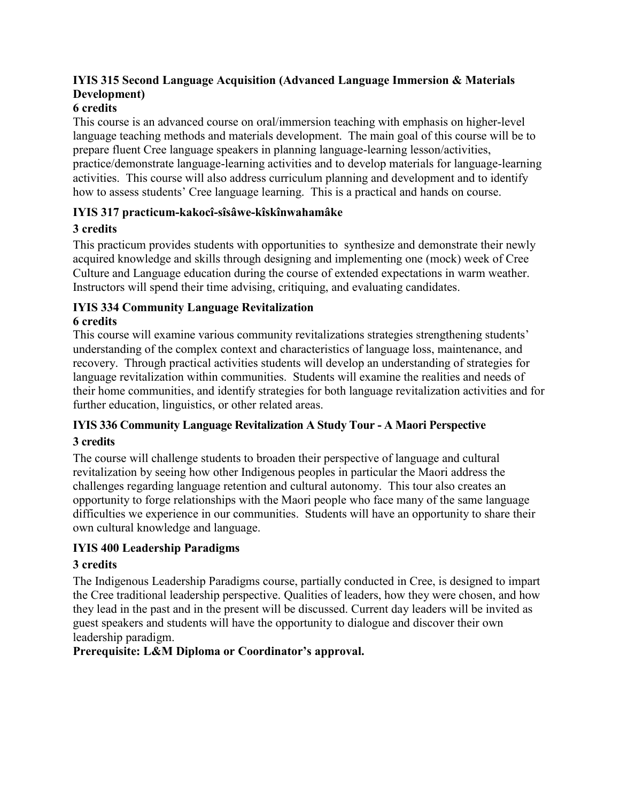### **IYIS 315 Second Language Acquisition (Advanced Language Immersion & Materials Development)**

### **6 credits**

This course is an advanced course on oral/immersion teaching with emphasis on higher-level language teaching methods and materials development. The main goal of this course will be to prepare fluent Cree language speakers in planning language-learning lesson/activities, practice/demonstrate language-learning activities and to develop materials for language-learning activities. This course will also address curriculum planning and development and to identify how to assess students' Cree language learning. This is a practical and hands on course.

### **IYIS 317 practicum-kakocî-sîsâwe-kîskînwahamâke**

### **3 credits**

This practicum provides students with opportunities to synthesize and demonstrate their newly acquired knowledge and skills through designing and implementing one (mock) week of Cree Culture and Language education during the course of extended expectations in warm weather. Instructors will spend their time advising, critiquing, and evaluating candidates.

#### **IYIS 334 Community Language Revitalization 6 credits**

This course will examine various community revitalizations strategies strengthening students' understanding of the complex context and characteristics of language loss, maintenance, and recovery. Through practical activities students will develop an understanding of strategies for language revitalization within communities. Students will examine the realities and needs of their home communities, and identify strategies for both language revitalization activities and for further education, linguistics, or other related areas.

### **IYIS 336 Community Language Revitalization A Study Tour - A Maori Perspective 3 credits**

The course will challenge students to broaden their perspective of language and cultural revitalization by seeing how other Indigenous peoples in particular the Maori address the challenges regarding language retention and cultural autonomy. This tour also creates an opportunity to forge relationships with the Maori people who face many of the same language difficulties we experience in our communities. Students will have an opportunity to share their own cultural knowledge and language.

### **IYIS 400 Leadership Paradigms**

### **3 credits**

The Indigenous Leadership Paradigms course, partially conducted in Cree, is designed to impart the Cree traditional leadership perspective. Qualities of leaders, how they were chosen, and how they lead in the past and in the present will be discussed. Current day leaders will be invited as guest speakers and students will have the opportunity to dialogue and discover their own leadership paradigm.

### **Prerequisite: L&M Diploma or Coordinator's approval.**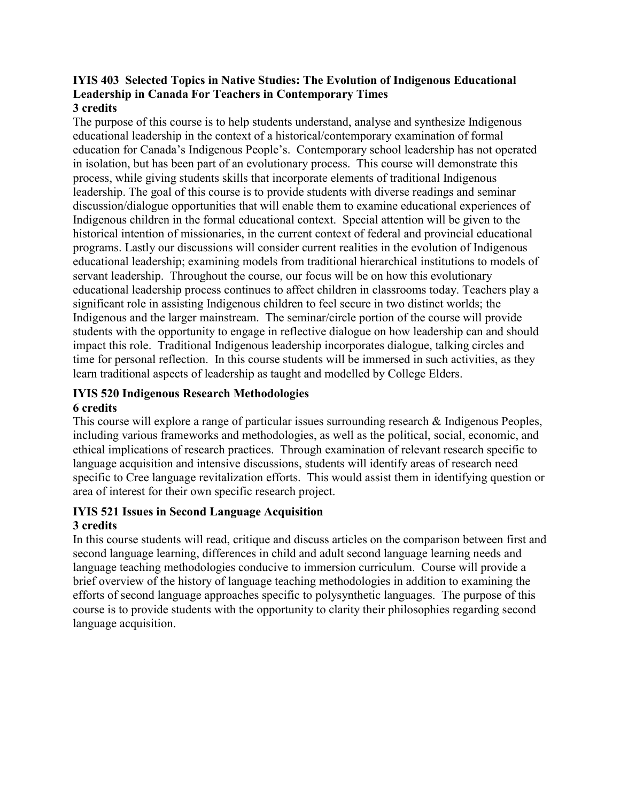#### **IYIS 403 Selected Topics in Native Studies: The Evolution of Indigenous Educational Leadership in Canada For Teachers in Contemporary Times 3 credits**

The purpose of this course is to help students understand, analyse and synthesize Indigenous educational leadership in the context of a historical/contemporary examination of formal education for Canada's Indigenous People's. Contemporary school leadership has not operated in isolation, but has been part of an evolutionary process. This course will demonstrate this process, while giving students skills that incorporate elements of traditional Indigenous leadership. The goal of this course is to provide students with diverse readings and seminar discussion/dialogue opportunities that will enable them to examine educational experiences of Indigenous children in the formal educational context. Special attention will be given to the historical intention of missionaries, in the current context of federal and provincial educational programs. Lastly our discussions will consider current realities in the evolution of Indigenous educational leadership; examining models from traditional hierarchical institutions to models of servant leadership. Throughout the course, our focus will be on how this evolutionary educational leadership process continues to affect children in classrooms today. Teachers play a significant role in assisting Indigenous children to feel secure in two distinct worlds; the Indigenous and the larger mainstream. The seminar/circle portion of the course will provide students with the opportunity to engage in reflective dialogue on how leadership can and should impact this role. Traditional Indigenous leadership incorporates dialogue, talking circles and time for personal reflection. In this course students will be immersed in such activities, as they learn traditional aspects of leadership as taught and modelled by College Elders.

#### **IYIS 520 Indigenous Research Methodologies 6 credits**

This course will explore a range of particular issues surrounding research & Indigenous Peoples, including various frameworks and methodologies, as well as the political, social, economic, and ethical implications of research practices. Through examination of relevant research specific to language acquisition and intensive discussions, students will identify areas of research need specific to Cree language revitalization efforts. This would assist them in identifying question or area of interest for their own specific research project.

#### **IYIS 521 Issues in Second Language Acquisition 3 credits**

In this course students will read, critique and discuss articles on the comparison between first and second language learning, differences in child and adult second language learning needs and language teaching methodologies conducive to immersion curriculum. Course will provide a brief overview of the history of language teaching methodologies in addition to examining the efforts of second language approaches specific to polysynthetic languages. The purpose of this course is to provide students with the opportunity to clarity their philosophies regarding second language acquisition.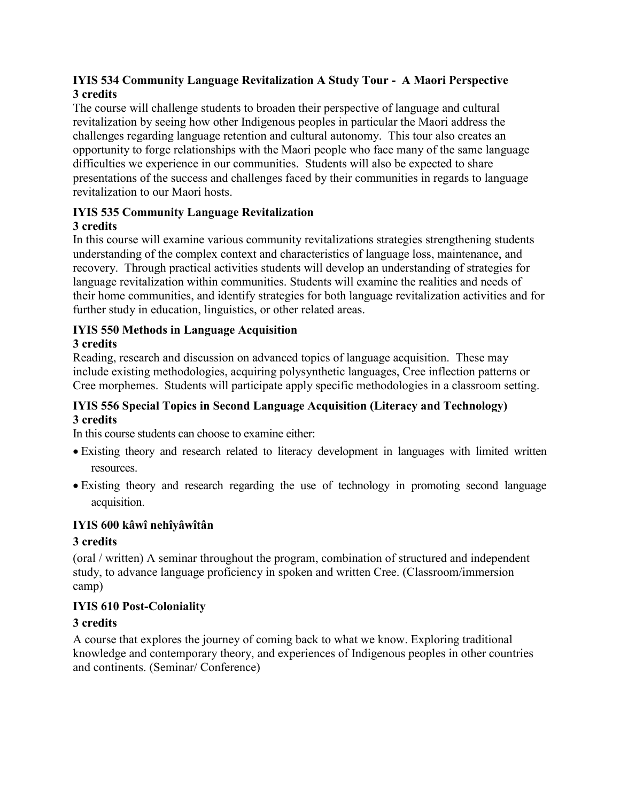### **IYIS 534 Community Language Revitalization A Study Tour - A Maori Perspective 3 credits**

The course will challenge students to broaden their perspective of language and cultural revitalization by seeing how other Indigenous peoples in particular the Maori address the challenges regarding language retention and cultural autonomy. This tour also creates an opportunity to forge relationships with the Maori people who face many of the same language difficulties we experience in our communities. Students will also be expected to share presentations of the success and challenges faced by their communities in regards to language revitalization to our Maori hosts.

#### **IYIS 535 Community Language Revitalization 3 credits**

In this course will examine various community revitalizations strategies strengthening students understanding of the complex context and characteristics of language loss, maintenance, and recovery. Through practical activities students will develop an understanding of strategies for language revitalization within communities. Students will examine the realities and needs of their home communities, and identify strategies for both language revitalization activities and for further study in education, linguistics, or other related areas.

## **IYIS 550 Methods in Language Acquisition**

### **3 credits**

Reading, research and discussion on advanced topics of language acquisition. These may include existing methodologies, acquiring polysynthetic languages, Cree inflection patterns or Cree morphemes. Students will participate apply specific methodologies in a classroom setting.

### **IYIS 556 Special Topics in Second Language Acquisition (Literacy and Technology) 3 credits**

In this course students can choose to examine either:

- Existing theory and research related to literacy development in languages with limited written resources.
- Existing theory and research regarding the use of technology in promoting second language acquisition.

### **IYIS 600 kâwî nehîyâwîtân**

### **3 credits**

(oral / written) A seminar throughout the program, combination of structured and independent study, to advance language proficiency in spoken and written Cree. (Classroom/immersion camp)

### **IYIS 610 Post-Coloniality**

### **3 credits**

A course that explores the journey of coming back to what we know. Exploring traditional knowledge and contemporary theory, and experiences of Indigenous peoples in other countries and continents. (Seminar/ Conference)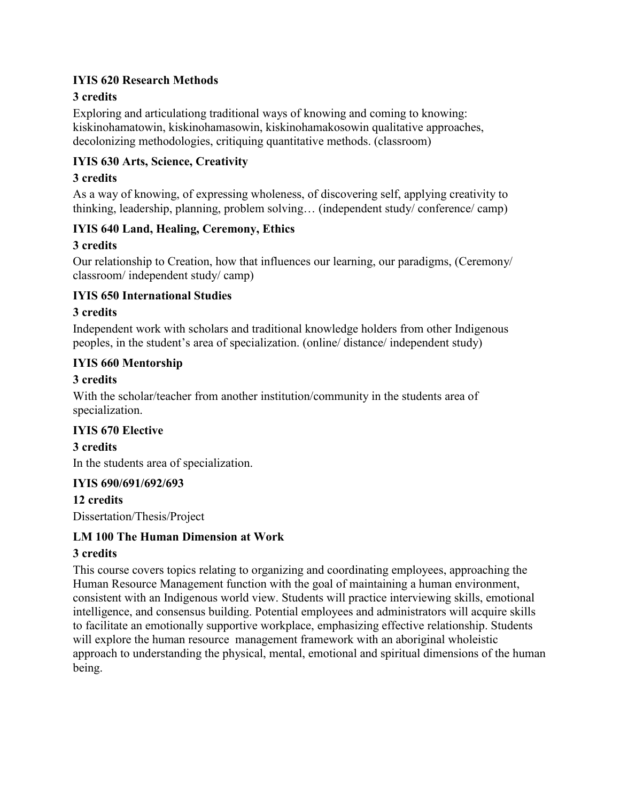#### **IYIS 620 Research Methods**

### **3 credits**

Exploring and articulationg traditional ways of knowing and coming to knowing: kiskinohamatowin, kiskinohamasowin, kiskinohamakosowin qualitative approaches, decolonizing methodologies, critiquing quantitative methods. (classroom)

### **IYIS 630 Arts, Science, Creativity**

### **3 credits**

As a way of knowing, of expressing wholeness, of discovering self, applying creativity to thinking, leadership, planning, problem solving… (independent study/ conference/ camp)

### **IYIS 640 Land, Healing, Ceremony, Ethics**

### **3 credits**

Our relationship to Creation, how that influences our learning, our paradigms, (Ceremony/ classroom/ independent study/ camp)

### **IYIS 650 International Studies**

### **3 credits**

Independent work with scholars and traditional knowledge holders from other Indigenous peoples, in the student's area of specialization. (online/ distance/ independent study)

### **IYIS 660 Mentorship**

### **3 credits**

With the scholar/teacher from another institution/community in the students area of specialization.

### **IYIS 670 Elective**

**3 credits**

In the students area of specialization.

### **IYIS 690/691/692/693**

**12 credits** Dissertation/Thesis/Project

### **LM 100 The Human Dimension at Work**

### **3 credits**

This course covers topics relating to organizing and coordinating employees, approaching the Human Resource Management function with the goal of maintaining a human environment, consistent with an Indigenous world view. Students will practice interviewing skills, emotional intelligence, and consensus building. Potential employees and administrators will acquire skills to facilitate an emotionally supportive workplace, emphasizing effective relationship. Students will explore the human resource management framework with an aboriginal wholeistic approach to understanding the physical, mental, emotional and spiritual dimensions of the human being.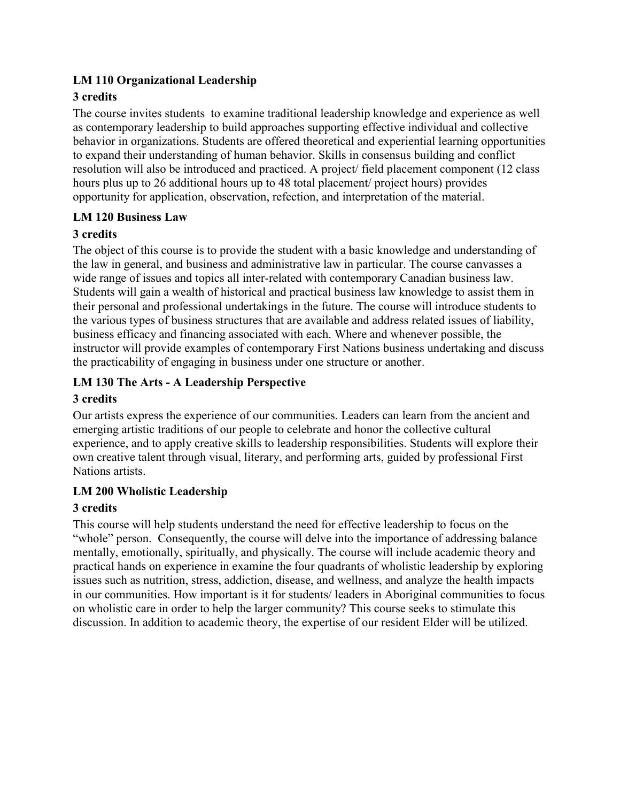### **LM 110 Organizational Leadership**

### **3 credits**

The course invites students to examine traditional leadership knowledge and experience as well as contemporary leadership to build approaches supporting effective individual and collective behavior in organizations. Students are offered theoretical and experiential learning opportunities to expand their understanding of human behavior. Skills in consensus building and conflict resolution will also be introduced and practiced. A project/ field placement component (12 class hours plus up to 26 additional hours up to 48 total placement/ project hours) provides opportunity for application, observation, refection, and interpretation of the material.

### **LM 120 Business Law**

### **3 credits**

The object of this course is to provide the student with a basic knowledge and understanding of the law in general, and business and administrative law in particular. The course canvasses a wide range of issues and topics all inter-related with contemporary Canadian business law. Students will gain a wealth of historical and practical business law knowledge to assist them in their personal and professional undertakings in the future. The course will introduce students to the various types of business structures that are available and address related issues of liability, business efficacy and financing associated with each. Where and whenever possible, the instructor will provide examples of contemporary First Nations business undertaking and discuss the practicability of engaging in business under one structure or another.

### **LM 130 The Arts - A Leadership Perspective**

### **3 credits**

Our artists express the experience of our communities. Leaders can learn from the ancient and emerging artistic traditions of our people to celebrate and honor the collective cultural experience, and to apply creative skills to leadership responsibilities. Students will explore their own creative talent through visual, literary, and performing arts, guided by professional First Nations artists.

### **LM 200 Wholistic Leadership**

### **3 credits**

This course will help students understand the need for effective leadership to focus on the "whole" person. Consequently, the course will delve into the importance of addressing balance mentally, emotionally, spiritually, and physically. The course will include academic theory and practical hands on experience in examine the four quadrants of wholistic leadership by exploring issues such as nutrition, stress, addiction, disease, and wellness, and analyze the health impacts in our communities. How important is it for students/ leaders in Aboriginal communities to focus on wholistic care in order to help the larger community? This course seeks to stimulate this discussion. In addition to academic theory, the expertise of our resident Elder will be utilized.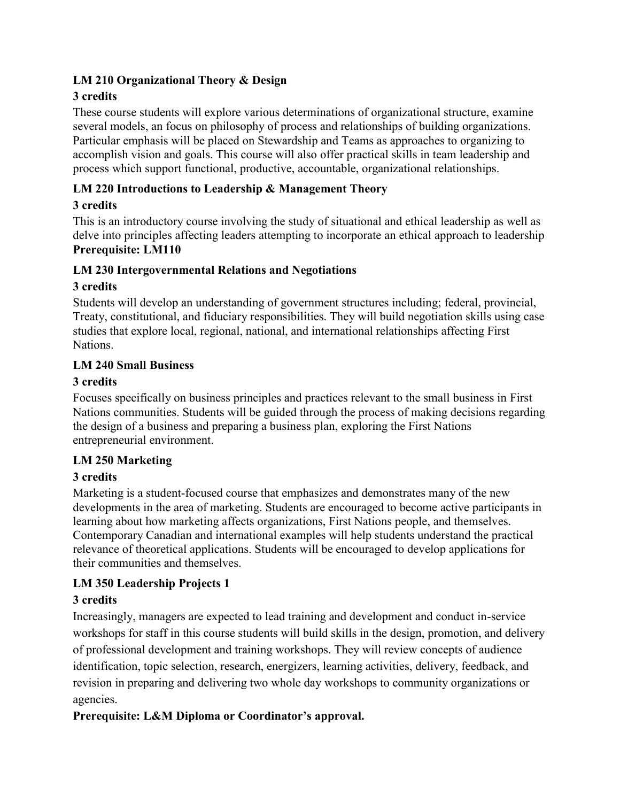### **LM 210 Organizational Theory & Design**

### **3 credits**

These course students will explore various determinations of organizational structure, examine several models, an focus on philosophy of process and relationships of building organizations. Particular emphasis will be placed on Stewardship and Teams as approaches to organizing to accomplish vision and goals. This course will also offer practical skills in team leadership and process which support functional, productive, accountable, organizational relationships.

### **LM 220 Introductions to Leadership & Management Theory**

### **3 credits**

This is an introductory course involving the study of situational and ethical leadership as well as delve into principles affecting leaders attempting to incorporate an ethical approach to leadership **Prerequisite: LM110**

### **LM 230 Intergovernmental Relations and Negotiations**

### **3 credits**

Students will develop an understanding of government structures including; federal, provincial, Treaty, constitutional, and fiduciary responsibilities. They will build negotiation skills using case studies that explore local, regional, national, and international relationships affecting First Nations.

### **LM 240 Small Business**

### **3 credits**

Focuses specifically on business principles and practices relevant to the small business in First Nations communities. Students will be guided through the process of making decisions regarding the design of a business and preparing a business plan, exploring the First Nations entrepreneurial environment.

### **LM 250 Marketing**

### **3 credits**

Marketing is a student-focused course that emphasizes and demonstrates many of the new developments in the area of marketing. Students are encouraged to become active participants in learning about how marketing affects organizations, First Nations people, and themselves. Contemporary Canadian and international examples will help students understand the practical relevance of theoretical applications. Students will be encouraged to develop applications for their communities and themselves.

### **LM 350 Leadership Projects 1**

### **3 credits**

Increasingly, managers are expected to lead training and development and conduct in-service workshops for staff in this course students will build skills in the design, promotion, and delivery of professional development and training workshops. They will review concepts of audience identification, topic selection, research, energizers, learning activities, delivery, feedback, and revision in preparing and delivering two whole day workshops to community organizations or agencies.

### **Prerequisite: L&M Diploma or Coordinator's approval.**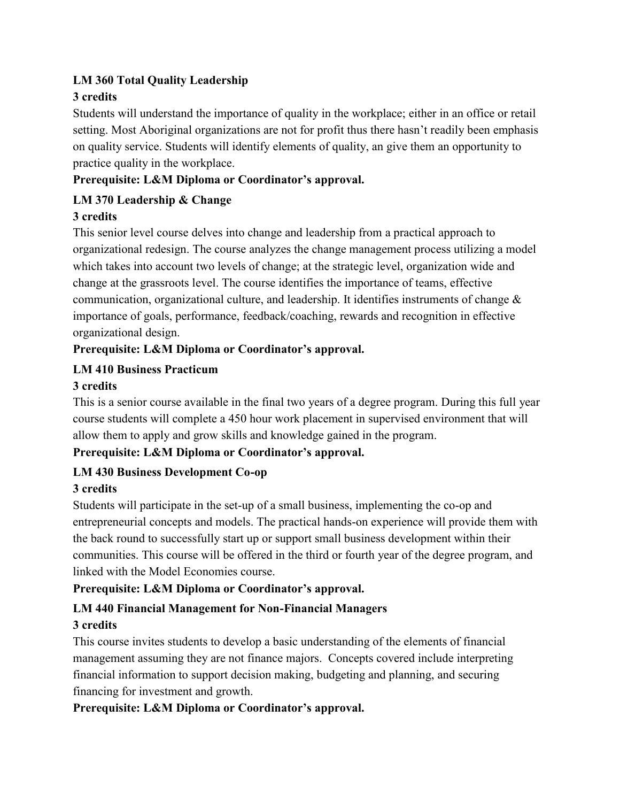### **LM 360 Total Quality Leadership**

### **3 credits**

Students will understand the importance of quality in the workplace; either in an office or retail setting. Most Aboriginal organizations are not for profit thus there hasn't readily been emphasis on quality service. Students will identify elements of quality, an give them an opportunity to practice quality in the workplace.

### **Prerequisite: L&M Diploma or Coordinator's approval.**

### **LM 370 Leadership & Change**

### **3 credits**

This senior level course delves into change and leadership from a practical approach to organizational redesign. The course analyzes the change management process utilizing a model which takes into account two levels of change; at the strategic level, organization wide and change at the grassroots level. The course identifies the importance of teams, effective communication, organizational culture, and leadership. It identifies instruments of change & importance of goals, performance, feedback/coaching, rewards and recognition in effective organizational design.

### **Prerequisite: L&M Diploma or Coordinator's approval.**

### **LM 410 Business Practicum**

### **3 credits**

This is a senior course available in the final two years of a degree program. During this full year course students will complete a 450 hour work placement in supervised environment that will allow them to apply and grow skills and knowledge gained in the program.

### **Prerequisite: L&M Diploma or Coordinator's approval.**

### **LM 430 Business Development Co-op**

### **3 credits**

Students will participate in the set-up of a small business, implementing the co-op and entrepreneurial concepts and models. The practical hands-on experience will provide them with the back round to successfully start up or support small business development within their communities. This course will be offered in the third or fourth year of the degree program, and linked with the Model Economies course.

### **Prerequisite: L&M Diploma or Coordinator's approval.**

### **LM 440 Financial Management for Non-Financial Managers 3 credits**

This course invites students to develop a basic understanding of the elements of financial management assuming they are not finance majors. Concepts covered include interpreting financial information to support decision making, budgeting and planning, and securing financing for investment and growth.

### **Prerequisite: L&M Diploma or Coordinator's approval.**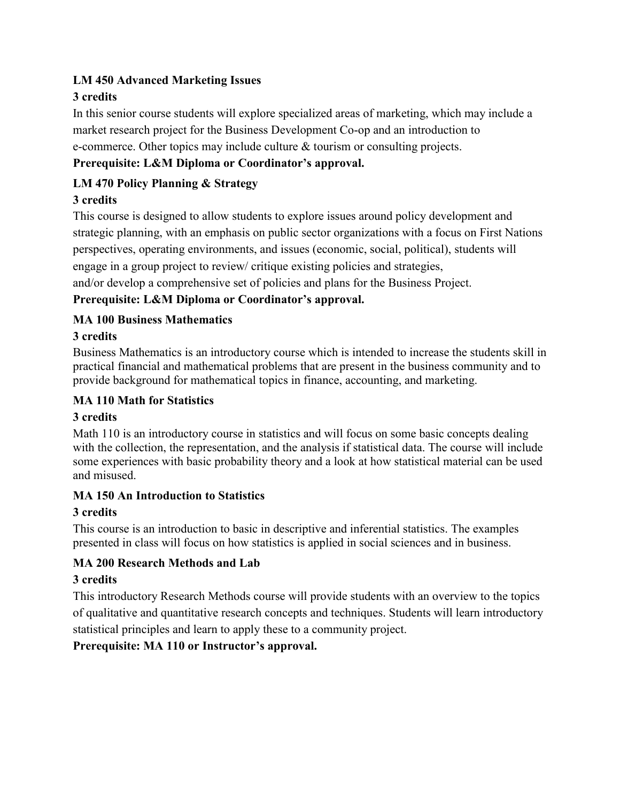### **LM 450 Advanced Marketing Issues**

### **3 credits**

In this senior course students will explore specialized areas of marketing, which may include a market research project for the Business Development Co-op and an introduction to e-commerce. Other topics may include culture & tourism or consulting projects.

### **Prerequisite: L&M Diploma or Coordinator's approval.**

### **LM 470 Policy Planning & Strategy**

### **3 credits**

This course is designed to allow students to explore issues around policy development and strategic planning, with an emphasis on public sector organizations with a focus on First Nations perspectives, operating environments, and issues (economic, social, political), students will engage in a group project to review/ critique existing policies and strategies, and/or develop a comprehensive set of policies and plans for the Business Project.

### **Prerequisite: L&M Diploma or Coordinator's approval.**

### **MA 100 Business Mathematics**

### **3 credits**

Business Mathematics is an introductory course which is intended to increase the students skill in practical financial and mathematical problems that are present in the business community and to provide background for mathematical topics in finance, accounting, and marketing.

#### **MA 110 Math for Statistics**

### **3 credits**

Math 110 is an introductory course in statistics and will focus on some basic concepts dealing with the collection, the representation, and the analysis if statistical data. The course will include some experiences with basic probability theory and a look at how statistical material can be used and misused.

### **MA 150 An Introduction to Statistics**

### **3 credits**

This course is an introduction to basic in descriptive and inferential statistics. The examples presented in class will focus on how statistics is applied in social sciences and in business.

### **MA 200 Research Methods and Lab**

### **3 credits**

This introductory Research Methods course will provide students with an overview to the topics of qualitative and quantitative research concepts and techniques. Students will learn introductory statistical principles and learn to apply these to a community project.

### **Prerequisite: MA 110 or Instructor's approval.**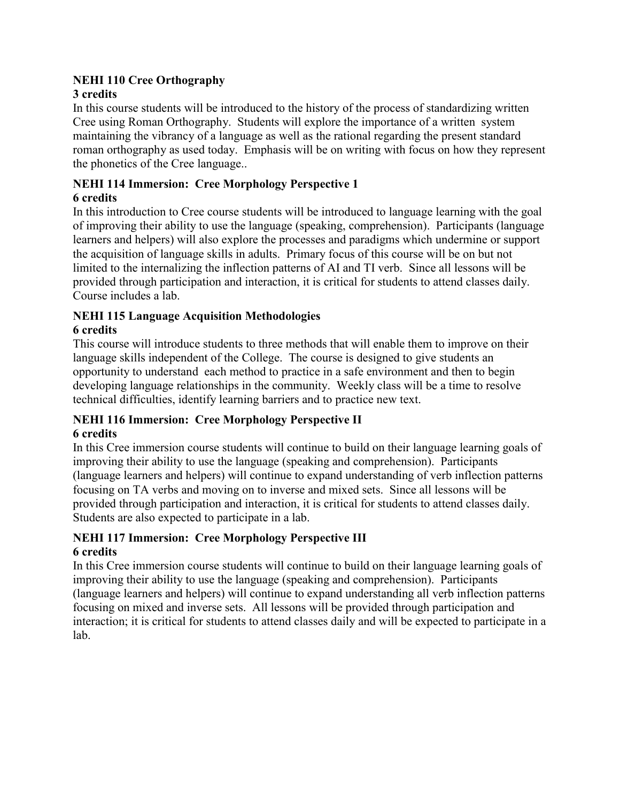### **NEHI 110 Cree Orthography**

### **3 credits**

In this course students will be introduced to the history of the process of standardizing written Cree using Roman Orthography. Students will explore the importance of a written system maintaining the vibrancy of a language as well as the rational regarding the present standard roman orthography as used today. Emphasis will be on writing with focus on how they represent the phonetics of the Cree language..

## **NEHI 114 Immersion: Cree Morphology Perspective 1**

#### **6 credits**

In this introduction to Cree course students will be introduced to language learning with the goal of improving their ability to use the language (speaking, comprehension). Participants (language learners and helpers) will also explore the processes and paradigms which undermine or support the acquisition of language skills in adults. Primary focus of this course will be on but not limited to the internalizing the inflection patterns of AI and TI verb. Since all lessons will be provided through participation and interaction, it is critical for students to attend classes daily. Course includes a lab.

## **NEHI 115 Language Acquisition Methodologies**

#### **6 credits**

This course will introduce students to three methods that will enable them to improve on their language skills independent of the College. The course is designed to give students an opportunity to understand each method to practice in a safe environment and then to begin developing language relationships in the community. Weekly class will be a time to resolve technical difficulties, identify learning barriers and to practice new text.

### **NEHI 116 Immersion: Cree Morphology Perspective II**

#### **6 credits**

In this Cree immersion course students will continue to build on their language learning goals of improving their ability to use the language (speaking and comprehension). Participants (language learners and helpers) will continue to expand understanding of verb inflection patterns focusing on TA verbs and moving on to inverse and mixed sets. Since all lessons will be provided through participation and interaction, it is critical for students to attend classes daily. Students are also expected to participate in a lab.

### **NEHI 117 Immersion: Cree Morphology Perspective III 6 credits**

In this Cree immersion course students will continue to build on their language learning goals of improving their ability to use the language (speaking and comprehension). Participants (language learners and helpers) will continue to expand understanding all verb inflection patterns focusing on mixed and inverse sets. All lessons will be provided through participation and interaction; it is critical for students to attend classes daily and will be expected to participate in a lab.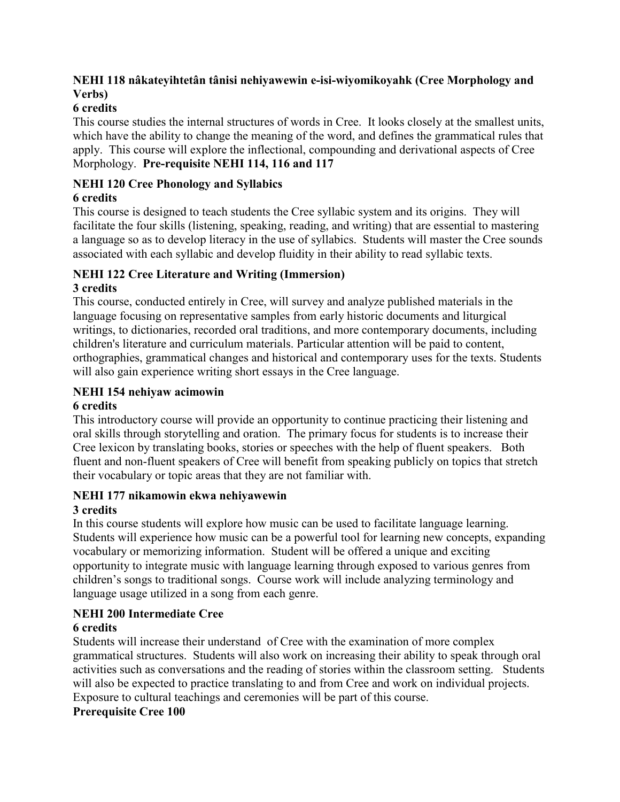### **NEHI 118 nâkateyihtetân tânisi nehiyawewin e-isi-wiyomikoyahk (Cree Morphology and Verbs)**

### **6 credits**

This course studies the internal structures of words in Cree. It looks closely at the smallest units, which have the ability to change the meaning of the word, and defines the grammatical rules that apply. This course will explore the inflectional, compounding and derivational aspects of Cree Morphology. **Pre-requisite NEHI 114, 116 and 117**

### **NEHI 120 Cree Phonology and Syllabics**

### **6 credits**

This course is designed to teach students the Cree syllabic system and its origins. They will facilitate the four skills (listening, speaking, reading, and writing) that are essential to mastering a language so as to develop literacy in the use of syllabics. Students will master the Cree sounds associated with each syllabic and develop fluidity in their ability to read syllabic texts.

### **NEHI 122 Cree Literature and Writing (Immersion)**

### **3 credits**

This course, conducted entirely in Cree, will survey and analyze published materials in the language focusing on representative samples from early historic documents and liturgical writings, to dictionaries, recorded oral traditions, and more contemporary documents, including children's literature and curriculum materials. Particular attention will be paid to content, orthographies, grammatical changes and historical and contemporary uses for the texts. Students will also gain experience writing short essays in the Cree language.

# **NEHI 154 nehiyaw acimowin**

### **6 credits**

This introductory course will provide an opportunity to continue practicing their listening and oral skills through storytelling and oration. The primary focus for students is to increase their Cree lexicon by translating books, stories or speeches with the help of fluent speakers. Both fluent and non-fluent speakers of Cree will benefit from speaking publicly on topics that stretch their vocabulary or topic areas that they are not familiar with.

## **NEHI 177 nikamowin ekwa nehiyawewin**

### **3 credits**

In this course students will explore how music can be used to facilitate language learning. Students will experience how music can be a powerful tool for learning new concepts, expanding vocabulary or memorizing information. Student will be offered a unique and exciting opportunity to integrate music with language learning through exposed to various genres from children's songs to traditional songs. Course work will include analyzing terminology and language usage utilized in a song from each genre.

### **NEHI 200 Intermediate Cree**

### **6 credits**

Students will increase their understand of Cree with the examination of more complex grammatical structures. Students will also work on increasing their ability to speak through oral activities such as conversations and the reading of stories within the classroom setting. Students will also be expected to practice translating to and from Cree and work on individual projects. Exposure to cultural teachings and ceremonies will be part of this course.

### **Prerequisite Cree 100**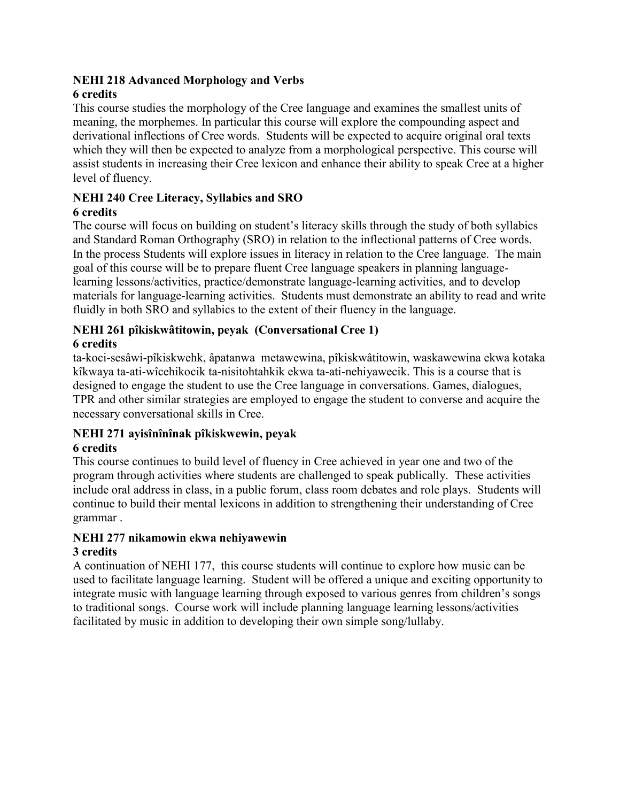#### **NEHI 218 Advanced Morphology and Verbs 6 credits**

This course studies the morphology of the Cree language and examines the smallest units of meaning, the morphemes. In particular this course will explore the compounding aspect and derivational inflections of Cree words. Students will be expected to acquire original oral texts which they will then be expected to analyze from a morphological perspective. This course will assist students in increasing their Cree lexicon and enhance their ability to speak Cree at a higher level of fluency.

### **NEHI 240 Cree Literacy, Syllabics and SRO**

### **6 credits**

The course will focus on building on student's literacy skills through the study of both syllabics and Standard Roman Orthography (SRO) in relation to the inflectional patterns of Cree words. In the process Students will explore issues in literacy in relation to the Cree language. The main goal of this course will be to prepare fluent Cree language speakers in planning languagelearning lessons/activities, practice/demonstrate language-learning activities, and to develop materials for language-learning activities. Students must demonstrate an ability to read and write fluidly in both SRO and syllabics to the extent of their fluency in the language.

#### **NEHI 261 pîkiskwâtitowin, peyak (Conversational Cree 1) 6 credits**

ta-koci-sesâwi-pîkiskwehk, âpatanwa metawewina, pîkiskwâtitowin, waskawewina ekwa kotaka kîkwaya ta-ati-wîcehikocik ta-nisitohtahkik ekwa ta-ati-nehiyawecik. This is a course that is designed to engage the student to use the Cree language in conversations. Games, dialogues, TPR and other similar strategies are employed to engage the student to converse and acquire the necessary conversational skills in Cree.

### **NEHI 271 ayisînînînak pîkiskwewin, peyak**

### **6 credits**

This course continues to build level of fluency in Cree achieved in year one and two of the program through activities where students are challenged to speak publically. These activities include oral address in class, in a public forum, class room debates and role plays. Students will continue to build their mental lexicons in addition to strengthening their understanding of Cree grammar .

## **NEHI 277 nikamowin ekwa nehiyawewin**

### **3 credits**

A continuation of NEHI 177, this course students will continue to explore how music can be used to facilitate language learning. Student will be offered a unique and exciting opportunity to integrate music with language learning through exposed to various genres from children's songs to traditional songs. Course work will include planning language learning lessons/activities facilitated by music in addition to developing their own simple song/lullaby.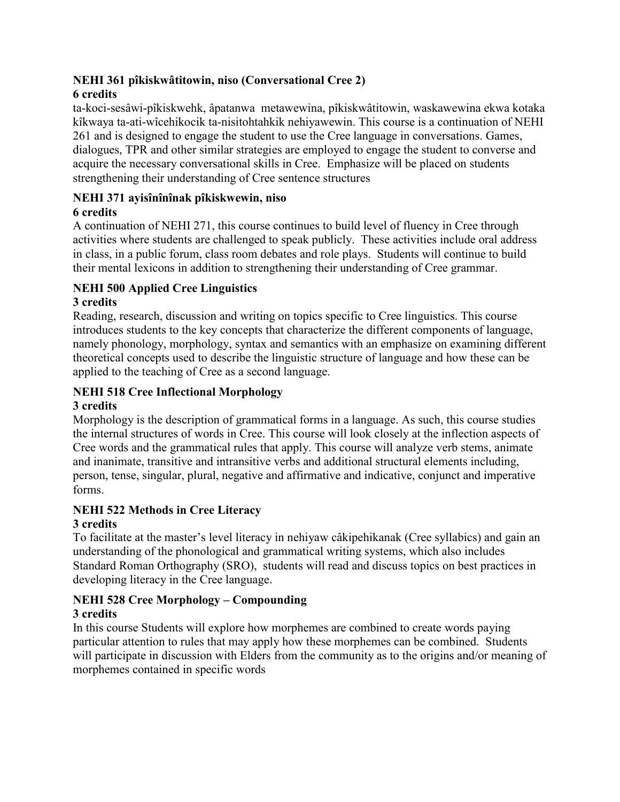#### **NEHI 361 pîkiskwâtitowin, niso (Conversational Cree 2) 6 credits**

ta-koci-sesâwi-pîkiskwehk, âpatanwa metawewina, pîkiskwâtitowin, waskawewina ekwa kotaka kîkwaya ta-ati-wîcehikocik ta-nisitohtahkik nehiyawewin. This course is a continuation of NEHI 261 and is designed to engage the student to use the Cree language in conversations. Games, dialogues, TPR and other similar strategies are employed to engage the student to converse and acquire the necessary conversational skills in Cree. Emphasize will be placed on students strengthening their understanding of Cree sentence structures

### **NEHI 371 ayisînînînak pîkiskwewin, niso**

#### **6 credits**

A continuation of NEHI 271, this course continues to build level of fluency in Cree through activities where students are challenged to speak publicly. These activities include oral address in class, in a public forum, class room debates and role plays. Students will continue to build their mental lexicons in addition to strengthening their understanding of Cree grammar.

### **NEHI 500 Applied Cree Linguistics**

#### **3 credits**

Reading, research, discussion and writing on topics specific to Cree linguistics. This course introduces students to the key concepts that characterize the different components of language, namely phonology, morphology, syntax and semantics with an emphasize on examining different theoretical concepts used to describe the linguistic structure of language and how these can be applied to the teaching of Cree as a second language.

### **NEHI 518 Cree Inflectional Morphology**

#### **3 credits**

Morphology is the description of grammatical forms in a language. As such, this course studies the internal structures of words in Cree. This course will look closely at the inflection aspects of Cree words and the grammatical rules that apply. This course will analyze verb stems, animate and inanimate, transitive and intransitive verbs and additional structural elements including, person, tense, singular, plural, negative and affirmative and indicative, conjunct and imperative forms.

### **NEHI 522 Methods in Cree Literacy**

### **3 credits**

To facilitate at the master's level literacy in nehiyaw câkipehikanak (Cree syllabics) and gain an understanding of the phonological and grammatical writing systems, which also includes Standard Roman Orthography (SRO), students will read and discuss topics on best practices in developing literacy in the Cree language.

# **NEHI 528 Cree Morphology – Compounding**

### **3 credits**

In this course Students will explore how morphemes are combined to create words paying particular attention to rules that may apply how these morphemes can be combined. Students will participate in discussion with Elders from the community as to the origins and/or meaning of morphemes contained in specific words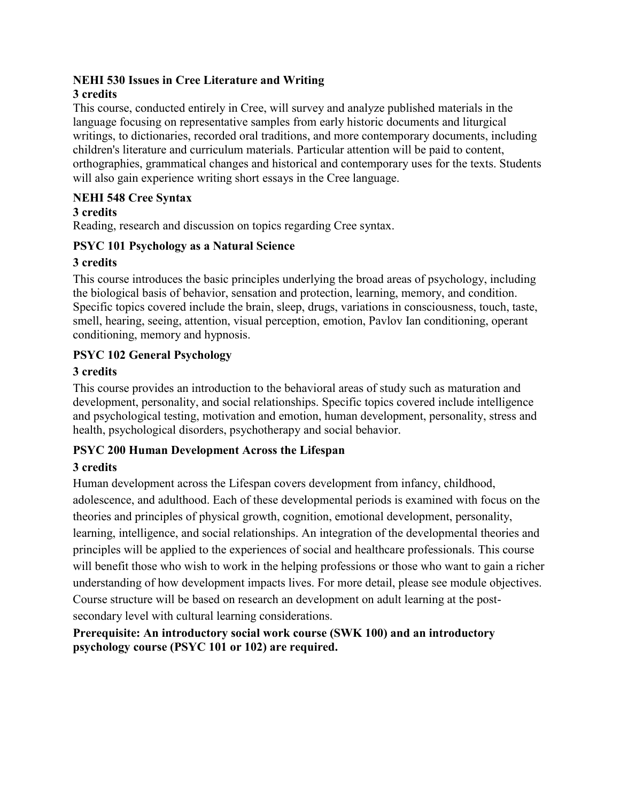# **NEHI 530 Issues in Cree Literature and Writing**

### **3 credits**

This course, conducted entirely in Cree, will survey and analyze published materials in the language focusing on representative samples from early historic documents and liturgical writings, to dictionaries, recorded oral traditions, and more contemporary documents, including children's literature and curriculum materials. Particular attention will be paid to content, orthographies, grammatical changes and historical and contemporary uses for the texts. Students will also gain experience writing short essays in the Cree language.

### **NEHI 548 Cree Syntax**

#### **3 credits**

Reading, research and discussion on topics regarding Cree syntax.

### **PSYC 101 Psychology as a Natural Science**

#### **3 credits**

This course introduces the basic principles underlying the broad areas of psychology, including the biological basis of behavior, sensation and protection, learning, memory, and condition. Specific topics covered include the brain, sleep, drugs, variations in consciousness, touch, taste, smell, hearing, seeing, attention, visual perception, emotion, Pavlov Ian conditioning, operant conditioning, memory and hypnosis.

### **PSYC 102 General Psychology**

### **3 credits**

This course provides an introduction to the behavioral areas of study such as maturation and development, personality, and social relationships. Specific topics covered include intelligence and psychological testing, motivation and emotion, human development, personality, stress and health, psychological disorders, psychotherapy and social behavior.

### **PSYC 200 Human Development Across the Lifespan**

### **3 credits**

Human development across the Lifespan covers development from infancy, childhood, adolescence, and adulthood. Each of these developmental periods is examined with focus on the theories and principles of physical growth, cognition, emotional development, personality, learning, intelligence, and social relationships. An integration of the developmental theories and principles will be applied to the experiences of social and healthcare professionals. This course will benefit those who wish to work in the helping professions or those who want to gain a richer understanding of how development impacts lives. For more detail, please see module objectives. Course structure will be based on research an development on adult learning at the postsecondary level with cultural learning considerations.

**Prerequisite: An introductory social work course (SWK 100) and an introductory psychology course (PSYC 101 or 102) are required.**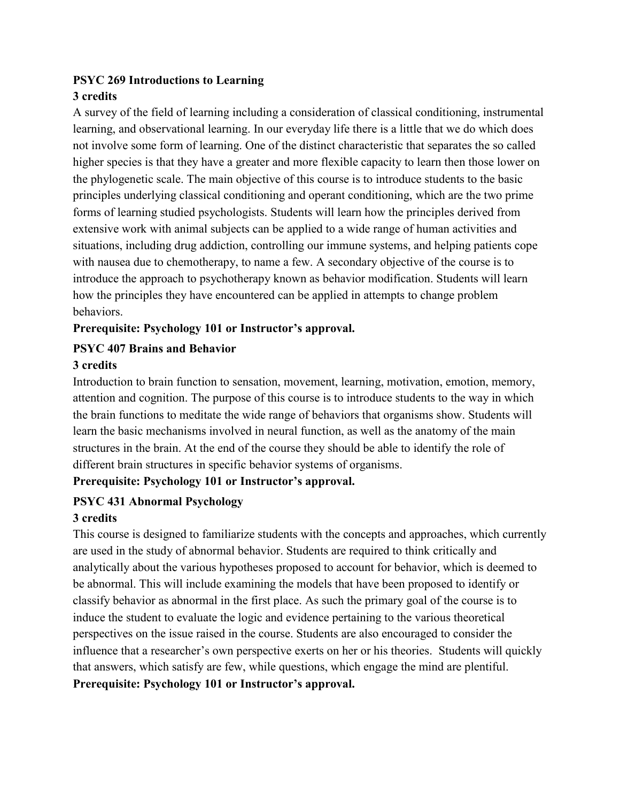#### **PSYC 269 Introductions to Learning 3 credits**

A survey of the field of learning including a consideration of classical conditioning, instrumental learning, and observational learning. In our everyday life there is a little that we do which does not involve some form of learning. One of the distinct characteristic that separates the so called higher species is that they have a greater and more flexible capacity to learn then those lower on the phylogenetic scale. The main objective of this course is to introduce students to the basic principles underlying classical conditioning and operant conditioning, which are the two prime forms of learning studied psychologists. Students will learn how the principles derived from extensive work with animal subjects can be applied to a wide range of human activities and situations, including drug addiction, controlling our immune systems, and helping patients cope with nausea due to chemotherapy, to name a few. A secondary objective of the course is to introduce the approach to psychotherapy known as behavior modification. Students will learn how the principles they have encountered can be applied in attempts to change problem behaviors.

### **Prerequisite: Psychology 101 or Instructor's approval.**

### **PSYC 407 Brains and Behavior**

#### **3 credits**

Introduction to brain function to sensation, movement, learning, motivation, emotion, memory, attention and cognition. The purpose of this course is to introduce students to the way in which the brain functions to meditate the wide range of behaviors that organisms show. Students will learn the basic mechanisms involved in neural function, as well as the anatomy of the main structures in the brain. At the end of the course they should be able to identify the role of different brain structures in specific behavior systems of organisms.

#### **Prerequisite: Psychology 101 or Instructor's approval.**

#### **PSYC 431 Abnormal Psychology**

#### **3 credits**

This course is designed to familiarize students with the concepts and approaches, which currently are used in the study of abnormal behavior. Students are required to think critically and analytically about the various hypotheses proposed to account for behavior, which is deemed to be abnormal. This will include examining the models that have been proposed to identify or classify behavior as abnormal in the first place. As such the primary goal of the course is to induce the student to evaluate the logic and evidence pertaining to the various theoretical perspectives on the issue raised in the course. Students are also encouraged to consider the influence that a researcher's own perspective exerts on her or his theories. Students will quickly that answers, which satisfy are few, while questions, which engage the mind are plentiful. **Prerequisite: Psychology 101 or Instructor's approval.**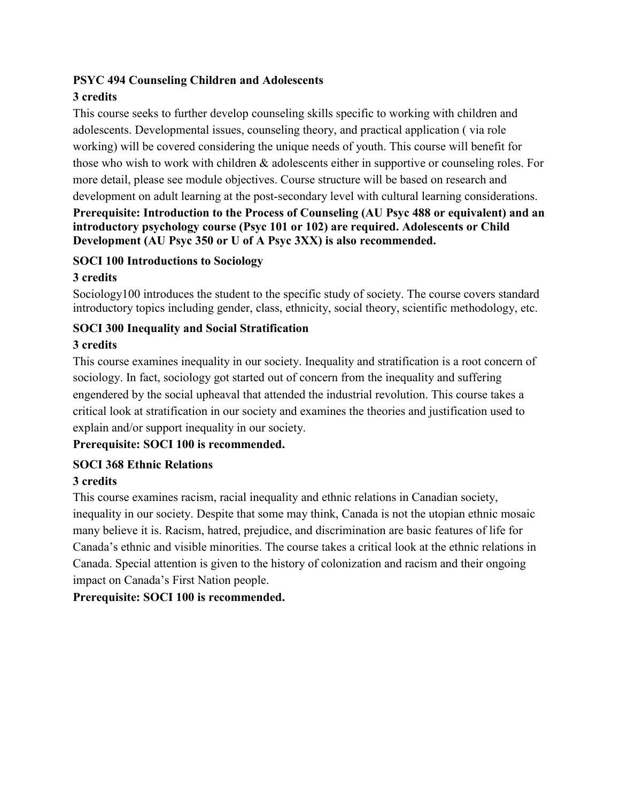#### **PSYC 494 Counseling Children and Adolescents**

### **3 credits**

This course seeks to further develop counseling skills specific to working with children and adolescents. Developmental issues, counseling theory, and practical application ( via role working) will be covered considering the unique needs of youth. This course will benefit for those who wish to work with children & adolescents either in supportive or counseling roles. For more detail, please see module objectives. Course structure will be based on research and development on adult learning at the post-secondary level with cultural learning considerations.

### **Prerequisite: Introduction to the Process of Counseling (AU Psyc 488 or equivalent) and an introductory psychology course (Psyc 101 or 102) are required. Adolescents or Child Development (AU Psyc 350 or U of A Psyc 3XX) is also recommended.**

#### **SOCI 100 Introductions to Sociology**

### **3 credits**

Sociology100 introduces the student to the specific study of society. The course covers standard introductory topics including gender, class, ethnicity, social theory, scientific methodology, etc.

### **SOCI 300 Inequality and Social Stratification**

### **3 credits**

This course examines inequality in our society. Inequality and stratification is a root concern of sociology. In fact, sociology got started out of concern from the inequality and suffering engendered by the social upheaval that attended the industrial revolution. This course takes a critical look at stratification in our society and examines the theories and justification used to explain and/or support inequality in our society.

### **Prerequisite: SOCI 100 is recommended.**

### **SOCI 368 Ethnic Relations**

### **3 credits**

This course examines racism, racial inequality and ethnic relations in Canadian society, inequality in our society. Despite that some may think, Canada is not the utopian ethnic mosaic many believe it is. Racism, hatred, prejudice, and discrimination are basic features of life for Canada's ethnic and visible minorities. The course takes a critical look at the ethnic relations in Canada. Special attention is given to the history of colonization and racism and their ongoing impact on Canada's First Nation people.

### **Prerequisite: SOCI 100 is recommended.**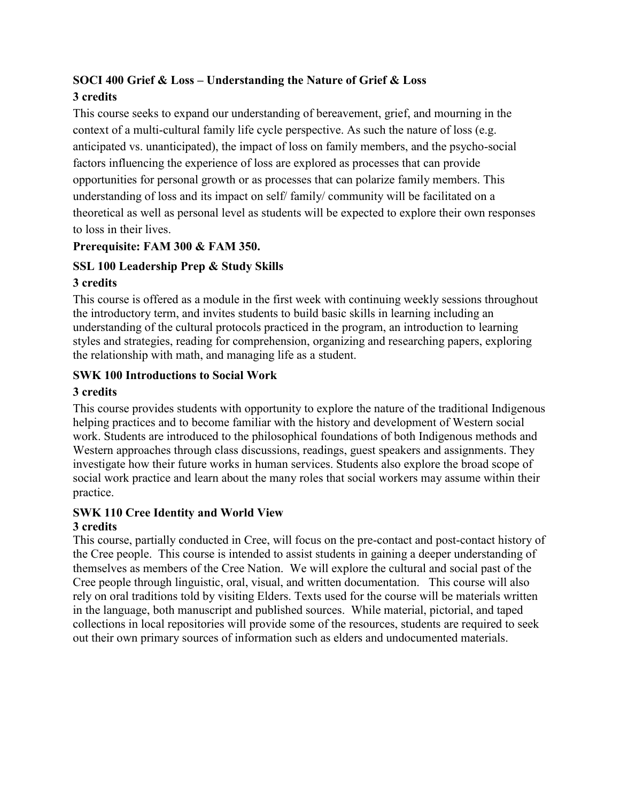### **SOCI 400 Grief & Loss – Understanding the Nature of Grief & Loss 3 credits**

This course seeks to expand our understanding of bereavement, grief, and mourning in the context of a multi-cultural family life cycle perspective. As such the nature of loss (e.g. anticipated vs. unanticipated), the impact of loss on family members, and the psycho-social factors influencing the experience of loss are explored as processes that can provide opportunities for personal growth or as processes that can polarize family members. This understanding of loss and its impact on self/ family/ community will be facilitated on a theoretical as well as personal level as students will be expected to explore their own responses to loss in their lives.

### **Prerequisite: FAM 300 & FAM 350.**

### **SSL 100 Leadership Prep & Study Skills**

### **3 credits**

This course is offered as a module in the first week with continuing weekly sessions throughout the introductory term, and invites students to build basic skills in learning including an understanding of the cultural protocols practiced in the program, an introduction to learning styles and strategies, reading for comprehension, organizing and researching papers, exploring the relationship with math, and managing life as a student.

### **SWK 100 Introductions to Social Work**

### **3 credits**

This course provides students with opportunity to explore the nature of the traditional Indigenous helping practices and to become familiar with the history and development of Western social work. Students are introduced to the philosophical foundations of both Indigenous methods and Western approaches through class discussions, readings, guest speakers and assignments. They investigate how their future works in human services. Students also explore the broad scope of social work practice and learn about the many roles that social workers may assume within their practice.

#### **SWK 110 Cree Identity and World View 3 credits**

This course, partially conducted in Cree, will focus on the pre-contact and post-contact history of the Cree people. This course is intended to assist students in gaining a deeper understanding of themselves as members of the Cree Nation. We will explore the cultural and social past of the Cree people through linguistic, oral, visual, and written documentation. This course will also rely on oral traditions told by visiting Elders. Texts used for the course will be materials written in the language, both manuscript and published sources. While material, pictorial, and taped collections in local repositories will provide some of the resources, students are required to seek out their own primary sources of information such as elders and undocumented materials.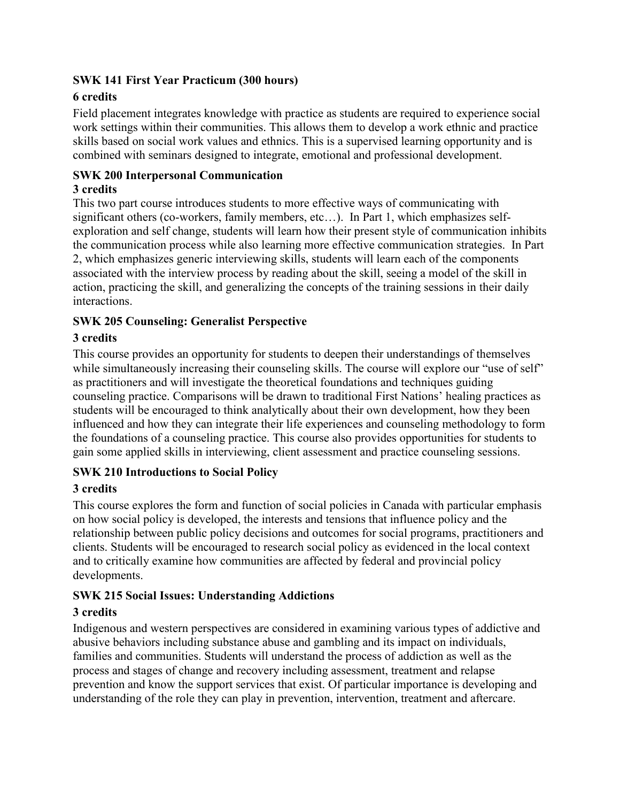#### **SWK 141 First Year Practicum (300 hours)**

### **6 credits**

Field placement integrates knowledge with practice as students are required to experience social work settings within their communities. This allows them to develop a work ethnic and practice skills based on social work values and ethnics. This is a supervised learning opportunity and is combined with seminars designed to integrate, emotional and professional development.

### **SWK 200 Interpersonal Communication**

### **3 credits**

This two part course introduces students to more effective ways of communicating with significant others (co-workers, family members, etc…). In Part 1, which emphasizes selfexploration and self change, students will learn how their present style of communication inhibits the communication process while also learning more effective communication strategies. In Part 2, which emphasizes generic interviewing skills, students will learn each of the components associated with the interview process by reading about the skill, seeing a model of the skill in action, practicing the skill, and generalizing the concepts of the training sessions in their daily interactions.

### **SWK 205 Counseling: Generalist Perspective**

### **3 credits**

This course provides an opportunity for students to deepen their understandings of themselves while simultaneously increasing their counseling skills. The course will explore our "use of self" as practitioners and will investigate the theoretical foundations and techniques guiding counseling practice. Comparisons will be drawn to traditional First Nations' healing practices as students will be encouraged to think analytically about their own development, how they been influenced and how they can integrate their life experiences and counseling methodology to form the foundations of a counseling practice. This course also provides opportunities for students to gain some applied skills in interviewing, client assessment and practice counseling sessions.

### **SWK 210 Introductions to Social Policy**

#### **3 credits**

This course explores the form and function of social policies in Canada with particular emphasis on how social policy is developed, the interests and tensions that influence policy and the relationship between public policy decisions and outcomes for social programs, practitioners and clients. Students will be encouraged to research social policy as evidenced in the local context and to critically examine how communities are affected by federal and provincial policy developments.

### **SWK 215 Social Issues: Understanding Addictions**

#### **3 credits**

Indigenous and western perspectives are considered in examining various types of addictive and abusive behaviors including substance abuse and gambling and its impact on individuals, families and communities. Students will understand the process of addiction as well as the process and stages of change and recovery including assessment, treatment and relapse prevention and know the support services that exist. Of particular importance is developing and understanding of the role they can play in prevention, intervention, treatment and aftercare.